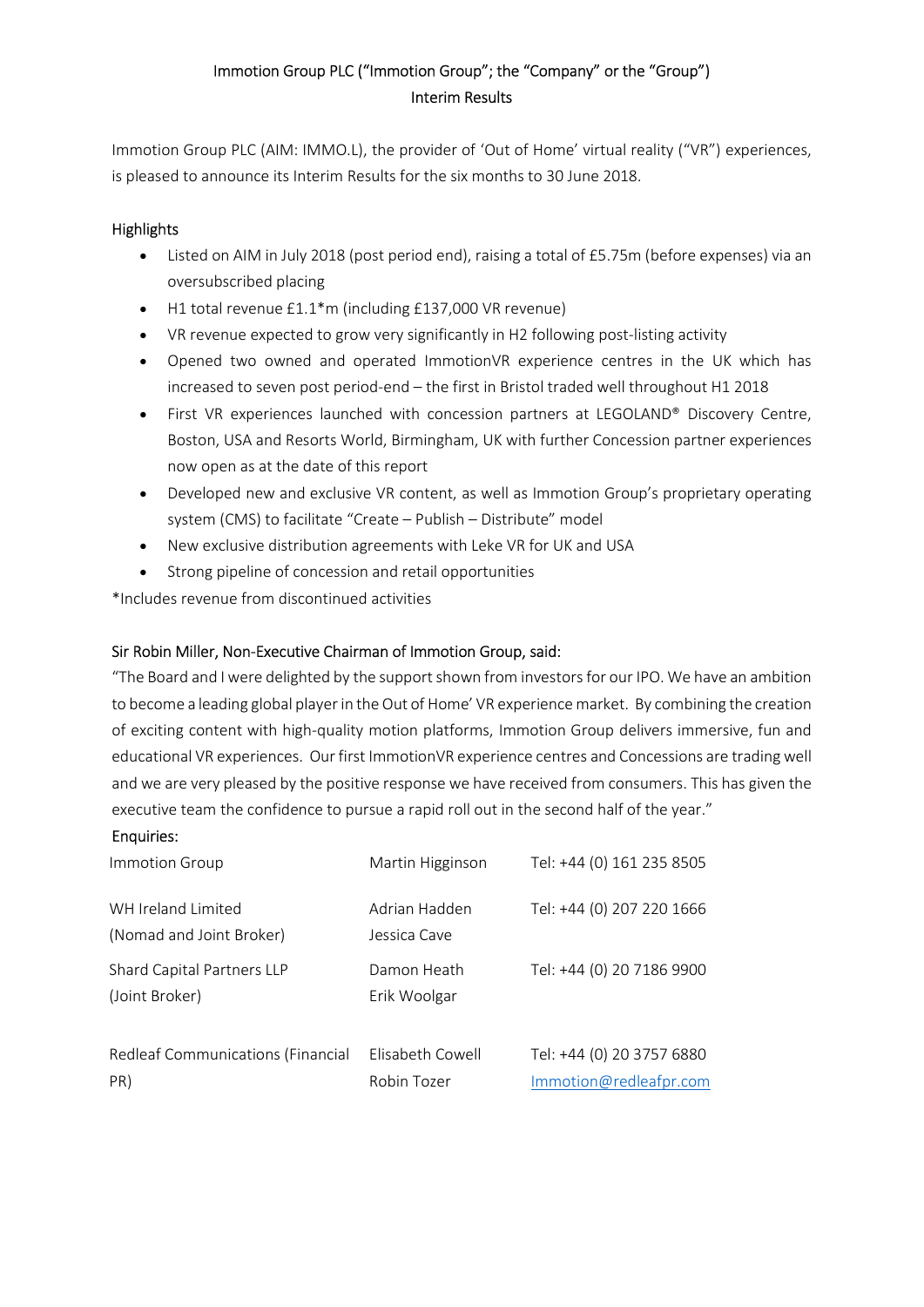# Immotion Group PLC ("Immotion Group"; the "Company" or the "Group") Interim Results

Immotion Group PLC (AIM: IMMO.L), the provider of 'Out of Home' virtual reality ("VR") experiences, is pleased to announce its Interim Results for the six months to 30 June 2018.

### **Highlights**

- Listed on AIM in July 2018 (post period end), raising a total of £5.75m (before expenses) via an oversubscribed placing
- H1 total revenue £1.1\*m (including £137,000 VR revenue)
- VR revenue expected to grow very significantly in H2 following post-listing activity
- Opened two owned and operated ImmotionVR experience centres in the UK which has increased to seven post period-end – the first in Bristol traded well throughout H1 2018
- First VR experiences launched with concession partners at LEGOLAND® Discovery Centre, Boston, USA and Resorts World, Birmingham, UK with further Concession partner experiences now open as at the date of this report
- Developed new and exclusive VR content, as well as Immotion Group's proprietary operating system (CMS) to facilitate "Create – Publish – Distribute" model
- New exclusive distribution agreements with Leke VR for UK and USA
- Strong pipeline of concession and retail opportunities

\*Includes revenue from discontinued activities

### Sir Robin Miller, Non-Executive Chairman of Immotion Group, said:

"The Board and I were delighted by the support shown from investors for our IPO. We have an ambition to become a leading global player in the Out of Home' VR experience market. By combining the creation of exciting content with high-quality motion platforms, Immotion Group delivers immersive, fun and educational VR experiences. Our first ImmotionVR experience centres and Concessions are trading well and we are very pleased by the positive response we have received from consumers. This has given the executive team the confidence to pursue a rapid roll out in the second half of the year."

#### Enquiries:

| Immotion Group                                 | Martin Higginson                | Tel: +44 (0) 161 235 8505                           |
|------------------------------------------------|---------------------------------|-----------------------------------------------------|
| WH Ireland Limited<br>(Nomad and Joint Broker) | Adrian Hadden<br>Jessica Cave   | Tel: +44 (0) 207 220 1666                           |
| Shard Capital Partners LLP<br>(Joint Broker)   | Damon Heath<br>Erik Woolgar     | Tel: +44 (0) 20 7186 9900                           |
| Redleaf Communications (Financial<br>PR)       | Flisabeth Cowell<br>Robin Tozer | Tel: +44 (0) 20 3757 6880<br>Immotion@redleafpr.com |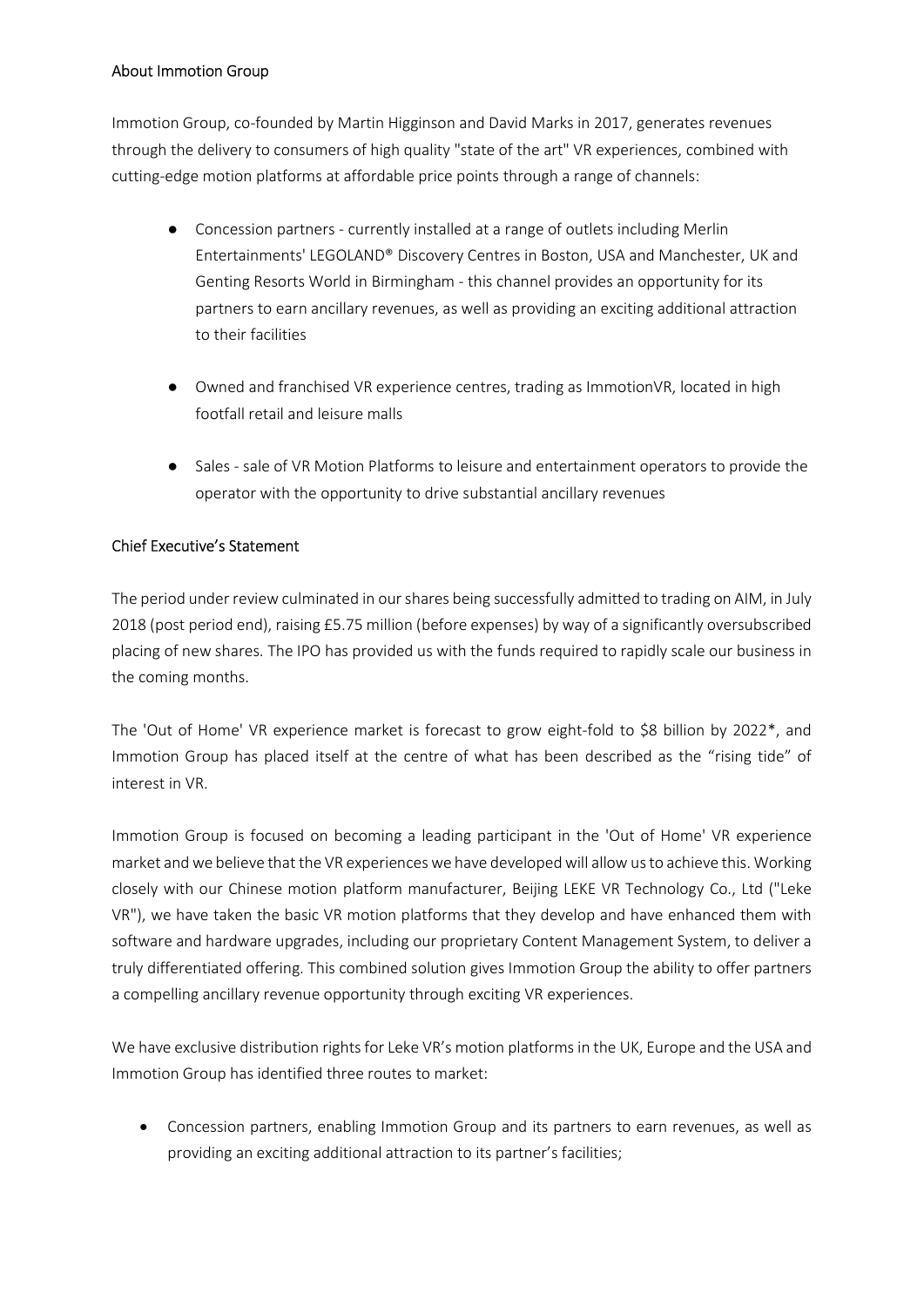#### About Immotion Group

Immotion Group, co-founded by Martin Higginson and David Marks in 2017, generates revenues through the delivery to consumers of high quality "state of the art" VR experiences, combined with cutting-edge motion platforms at affordable price points through a range of channels:

- Concession partners currently installed at a range of outlets including Merlin Entertainments' LEGOLAND® Discovery Centres in Boston, USA and Manchester, UK and Genting Resorts World in Birmingham - this channel provides an opportunity for its partners to earn ancillary revenues, as well as providing an exciting additional attraction to their facilities
- Owned and franchised VR experience centres, trading as ImmotionVR, located in high footfall retail and leisure malls
- Sales sale of VR Motion Platforms to leisure and entertainment operators to provide the operator with the opportunity to drive substantial ancillary revenues

#### Chief Executive's Statement

The period under review culminated in our shares being successfully admitted to trading on AIM, in July 2018 (post period end), raising £5.75 million (before expenses) by way of a significantly oversubscribed placing of new shares. The IPO has provided us with the funds required to rapidly scale our business in the coming months.

The 'Out of Home' VR experience market is forecast to grow eight-fold to \$8 billion by 2022\*, and Immotion Group has placed itself at the centre of what has been described as the "rising tide" of interest in VR.

Immotion Group is focused on becoming a leading participant in the 'Out of Home' VR experience market and we believe that the VR experiences we have developed will allow us to achieve this. Working closely with our Chinese motion platform manufacturer, Beijing LEKE VR Technology Co., Ltd ("Leke VR"), we have taken the basic VR motion platforms that they develop and have enhanced them with software and hardware upgrades, including our proprietary Content Management System, to deliver a truly differentiated offering. This combined solution gives Immotion Group the ability to offer partners a compelling ancillary revenue opportunity through exciting VR experiences.

We have exclusive distribution rights for Leke VR's motion platforms in the UK, Europe and the USA and Immotion Group has identified three routes to market:

 Concession partners, enabling Immotion Group and its partners to earn revenues, as well as providing an exciting additional attraction to its partner's facilities;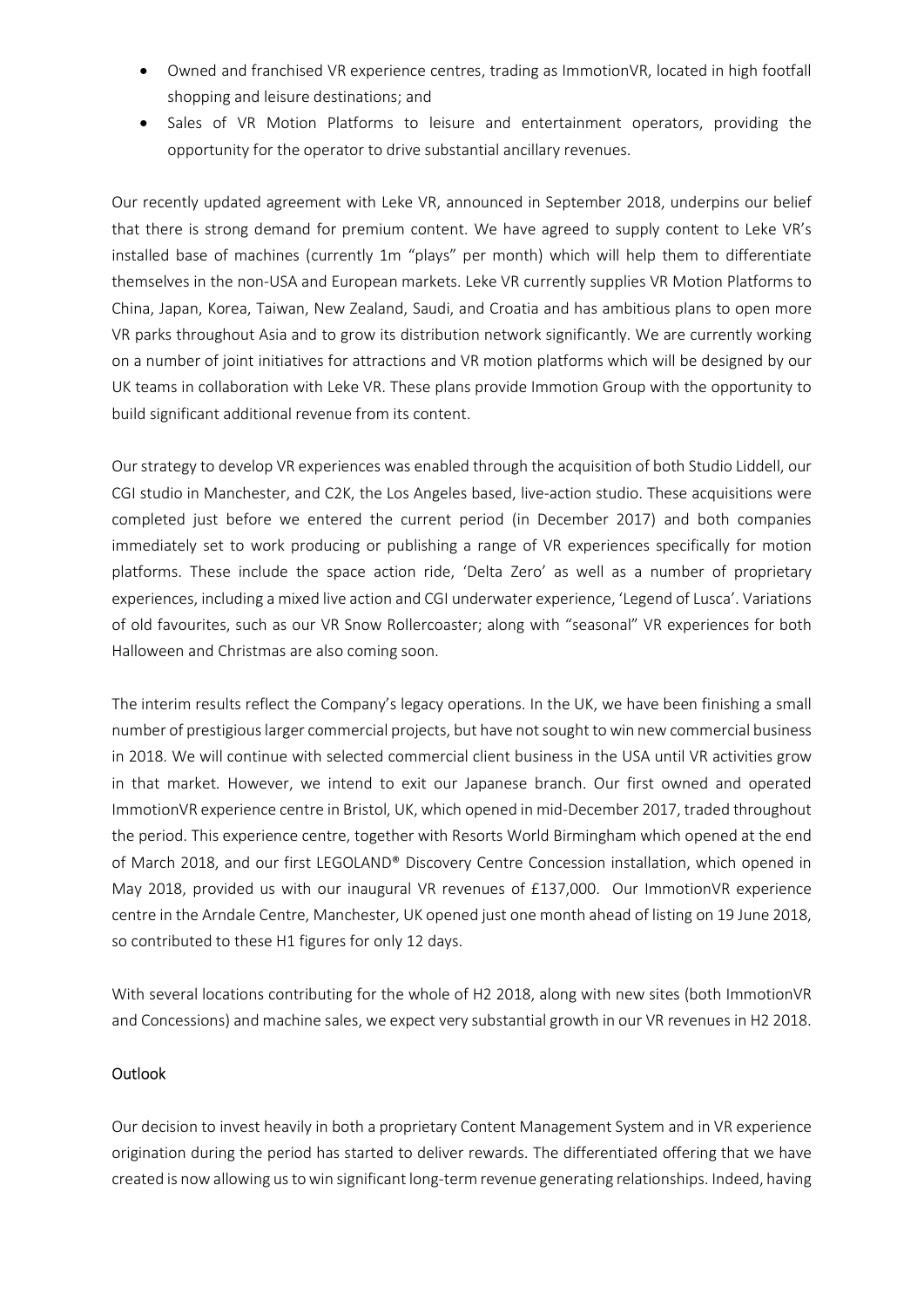- Owned and franchised VR experience centres, trading as ImmotionVR, located in high footfall shopping and leisure destinations; and
- Sales of VR Motion Platforms to leisure and entertainment operators, providing the opportunity for the operator to drive substantial ancillary revenues.

Our recently updated agreement with Leke VR, announced in September 2018, underpins our belief that there is strong demand for premium content. We have agreed to supply content to Leke VR's installed base of machines (currently 1m "plays" per month) which will help them to differentiate themselves in the non-USA and European markets. Leke VR currently supplies VR Motion Platforms to China, Japan, Korea, Taiwan, New Zealand, Saudi, and Croatia and has ambitious plans to open more VR parks throughout Asia and to grow its distribution network significantly. We are currently working on a number of joint initiatives for attractions and VR motion platforms which will be designed by our UK teams in collaboration with Leke VR. These plans provide Immotion Group with the opportunity to build significant additional revenue from its content.

Our strategy to develop VR experiences was enabled through the acquisition of both Studio Liddell, our CGI studio in Manchester, and C2K, the Los Angeles based, live-action studio. These acquisitions were completed just before we entered the current period (in December 2017) and both companies immediately set to work producing or publishing a range of VR experiences specifically for motion platforms. These include the space action ride, 'Delta Zero' as well as a number of proprietary experiences, including a mixed live action and CGI underwater experience, 'Legend of Lusca'. Variations of old favourites, such as our VR Snow Rollercoaster; along with "seasonal" VR experiences for both Halloween and Christmas are also coming soon.

The interim results reflect the Company's legacy operations. In the UK, we have been finishing a small number of prestigious larger commercial projects, but have not sought to win new commercial business in 2018. We will continue with selected commercial client business in the USA until VR activities grow in that market. However, we intend to exit our Japanese branch. Our first owned and operated ImmotionVR experience centre in Bristol, UK, which opened in mid-December 2017, traded throughout the period. This experience centre, together with Resorts World Birmingham which opened at the end of March 2018, and our first LEGOLAND® Discovery Centre Concession installation, which opened in May 2018, provided us with our inaugural VR revenues of £137,000. Our ImmotionVR experience centre in the Arndale Centre, Manchester, UK opened just one month ahead of listing on 19 June 2018, so contributed to these H1 figures for only 12 days.

With several locations contributing for the whole of H2 2018, along with new sites (both ImmotionVR and Concessions) and machine sales, we expect very substantial growth in our VR revenues in H2 2018.

#### **Outlook**

Our decision to invest heavily in both a proprietary Content Management System and in VR experience origination during the period has started to deliver rewards. The differentiated offering that we have created is now allowing us to win significant long-term revenue generating relationships. Indeed, having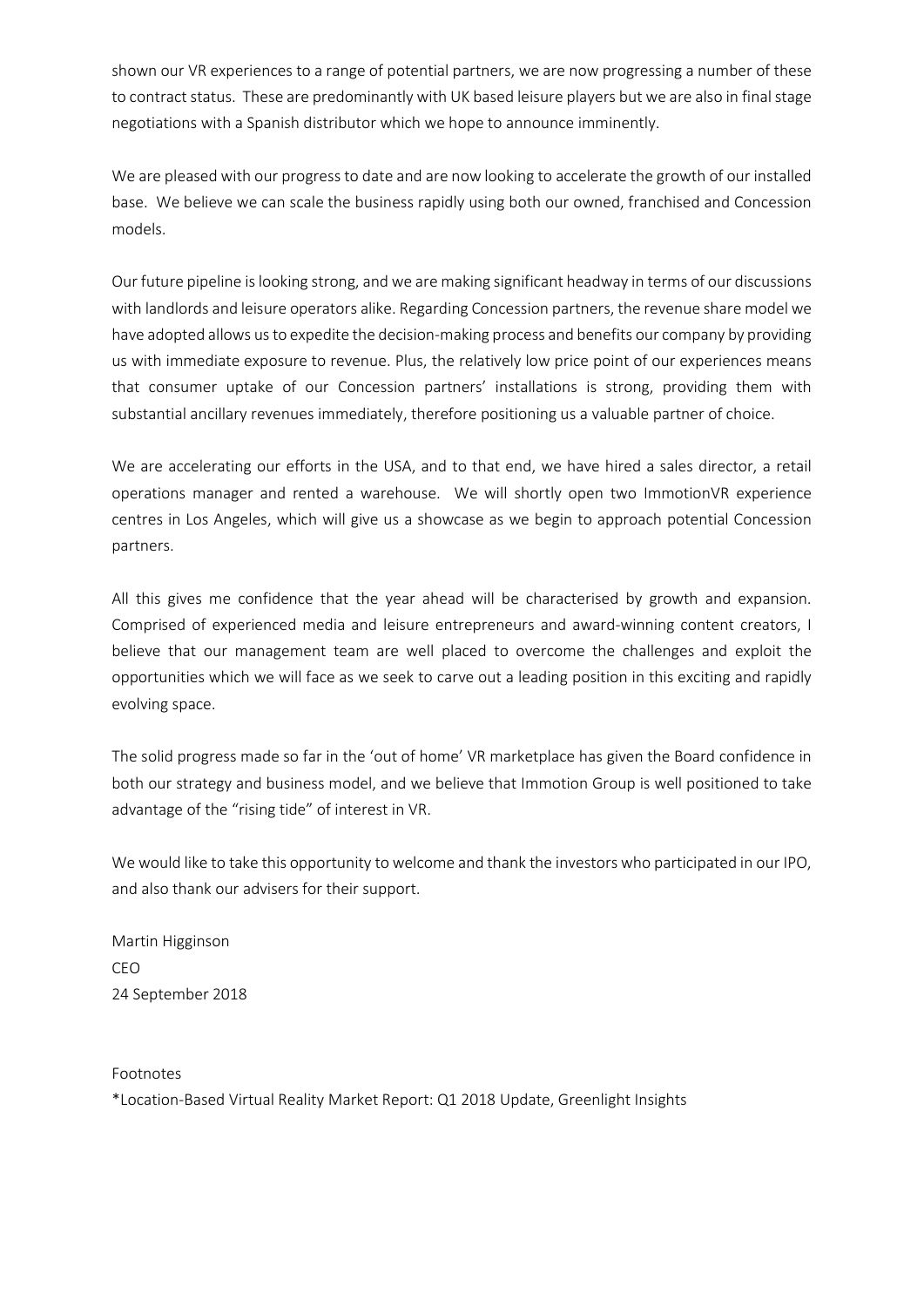shown our VR experiences to a range of potential partners, we are now progressing a number of these to contract status. These are predominantly with UK based leisure players but we are also in final stage negotiations with a Spanish distributor which we hope to announce imminently.

We are pleased with our progress to date and are now looking to accelerate the growth of our installed base. We believe we can scale the business rapidly using both our owned, franchised and Concession models.

Our future pipeline is looking strong, and we are making significant headway in terms of our discussions with landlords and leisure operators alike. Regarding Concession partners, the revenue share model we have adopted allows us to expedite the decision-making process and benefits our company by providing us with immediate exposure to revenue. Plus, the relatively low price point of our experiences means that consumer uptake of our Concession partners' installations is strong, providing them with substantial ancillary revenues immediately, therefore positioning us a valuable partner of choice.

We are accelerating our efforts in the USA, and to that end, we have hired a sales director, a retail operations manager and rented a warehouse. We will shortly open two ImmotionVR experience centres in Los Angeles, which will give us a showcase as we begin to approach potential Concession partners.

All this gives me confidence that the year ahead will be characterised by growth and expansion. Comprised of experienced media and leisure entrepreneurs and award-winning content creators, I believe that our management team are well placed to overcome the challenges and exploit the opportunities which we will face as we seek to carve out a leading position in this exciting and rapidly evolving space.

The solid progress made so far in the 'out of home' VR marketplace has given the Board confidence in both our strategy and business model, and we believe that Immotion Group is well positioned to take advantage of the "rising tide" of interest in VR.

We would like to take this opportunity to welcome and thank the investors who participated in our IPO, and also thank our advisers for their support.

Martin Higginson CEO 24 September 2018

#### Footnotes

\*Location-Based Virtual Reality Market Report: Q1 2018 Update, Greenlight Insights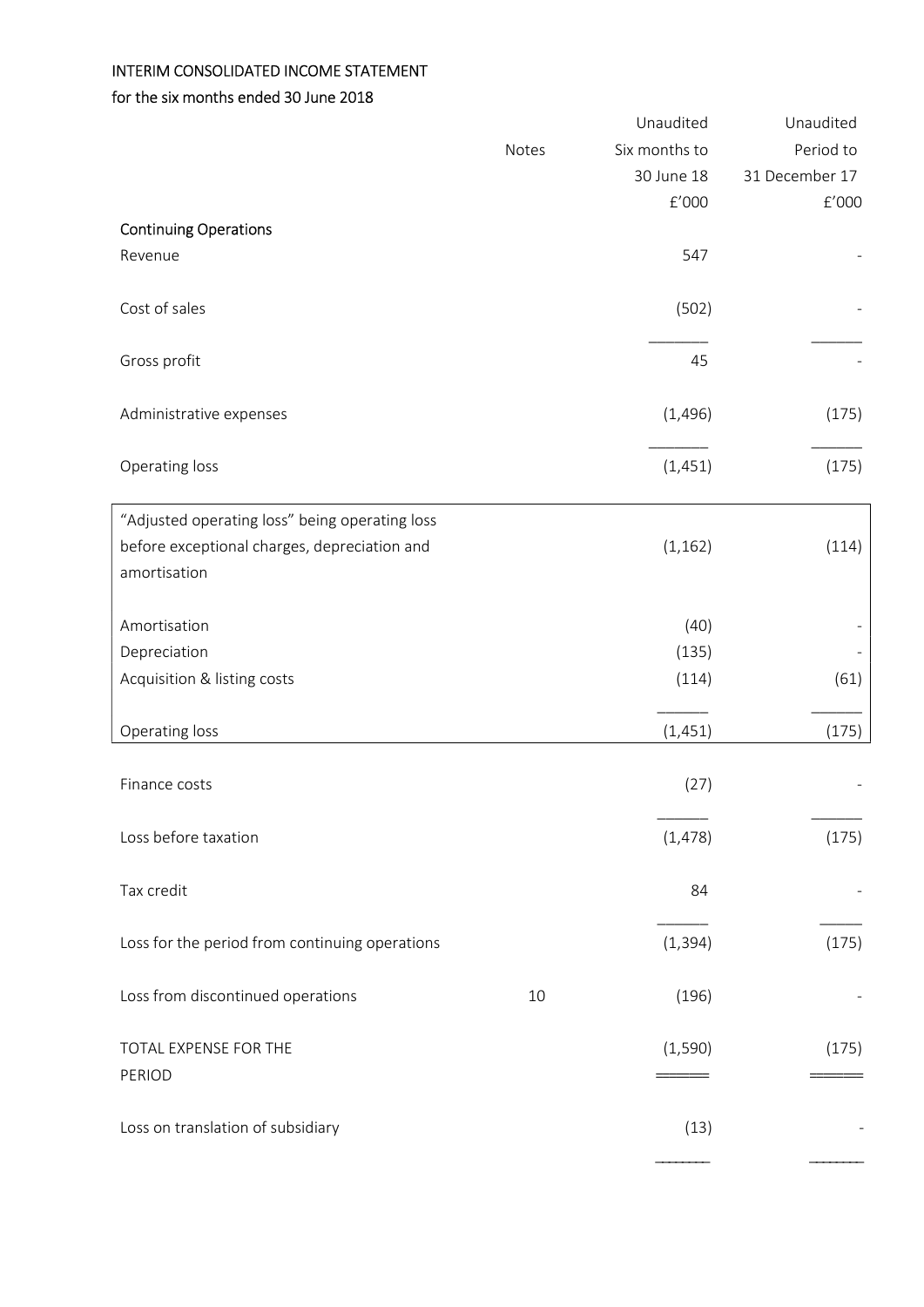# INTERIM CONSOLIDATED INCOME STATEMENT

### for the six months ended 30 June 2018

| Six months to<br>Period to<br>Notes<br>30 June 18<br>31 December 17<br>$\rm{f}^{\prime}000$<br>f'000<br><b>Continuing Operations</b><br>547<br>Revenue<br>Cost of sales<br>(502)<br>Gross profit<br>45<br>(1, 496)<br>(175)<br>Administrative expenses<br>Operating loss<br>(175)<br>(1,451)<br>"Adjusted operating loss" being operating loss<br>before exceptional charges, depreciation and<br>(1, 162)<br>(114)<br>amortisation<br>Amortisation<br>(40)<br>Depreciation<br>(135)<br>Acquisition & listing costs<br>(61)<br>(114)<br>Operating loss<br>(175)<br>(1,451)<br>Finance costs<br>(27)<br>Loss before taxation<br>(1, 478)<br>(175)<br>Tax credit<br>84<br>(1, 394)<br>Loss for the period from continuing operations<br>(175)<br>Loss from discontinued operations<br>(196)<br>10<br>TOTAL EXPENSE FOR THE<br>(1,590)<br>(175)<br>PERIOD<br>Loss on translation of subsidiary<br>(13) |  | Unaudited | Unaudited |
|-----------------------------------------------------------------------------------------------------------------------------------------------------------------------------------------------------------------------------------------------------------------------------------------------------------------------------------------------------------------------------------------------------------------------------------------------------------------------------------------------------------------------------------------------------------------------------------------------------------------------------------------------------------------------------------------------------------------------------------------------------------------------------------------------------------------------------------------------------------------------------------------------------|--|-----------|-----------|
|                                                                                                                                                                                                                                                                                                                                                                                                                                                                                                                                                                                                                                                                                                                                                                                                                                                                                                     |  |           |           |
|                                                                                                                                                                                                                                                                                                                                                                                                                                                                                                                                                                                                                                                                                                                                                                                                                                                                                                     |  |           |           |
|                                                                                                                                                                                                                                                                                                                                                                                                                                                                                                                                                                                                                                                                                                                                                                                                                                                                                                     |  |           |           |
|                                                                                                                                                                                                                                                                                                                                                                                                                                                                                                                                                                                                                                                                                                                                                                                                                                                                                                     |  |           |           |
|                                                                                                                                                                                                                                                                                                                                                                                                                                                                                                                                                                                                                                                                                                                                                                                                                                                                                                     |  |           |           |
|                                                                                                                                                                                                                                                                                                                                                                                                                                                                                                                                                                                                                                                                                                                                                                                                                                                                                                     |  |           |           |
|                                                                                                                                                                                                                                                                                                                                                                                                                                                                                                                                                                                                                                                                                                                                                                                                                                                                                                     |  |           |           |
|                                                                                                                                                                                                                                                                                                                                                                                                                                                                                                                                                                                                                                                                                                                                                                                                                                                                                                     |  |           |           |
|                                                                                                                                                                                                                                                                                                                                                                                                                                                                                                                                                                                                                                                                                                                                                                                                                                                                                                     |  |           |           |
|                                                                                                                                                                                                                                                                                                                                                                                                                                                                                                                                                                                                                                                                                                                                                                                                                                                                                                     |  |           |           |
|                                                                                                                                                                                                                                                                                                                                                                                                                                                                                                                                                                                                                                                                                                                                                                                                                                                                                                     |  |           |           |
|                                                                                                                                                                                                                                                                                                                                                                                                                                                                                                                                                                                                                                                                                                                                                                                                                                                                                                     |  |           |           |
|                                                                                                                                                                                                                                                                                                                                                                                                                                                                                                                                                                                                                                                                                                                                                                                                                                                                                                     |  |           |           |
|                                                                                                                                                                                                                                                                                                                                                                                                                                                                                                                                                                                                                                                                                                                                                                                                                                                                                                     |  |           |           |
|                                                                                                                                                                                                                                                                                                                                                                                                                                                                                                                                                                                                                                                                                                                                                                                                                                                                                                     |  |           |           |
|                                                                                                                                                                                                                                                                                                                                                                                                                                                                                                                                                                                                                                                                                                                                                                                                                                                                                                     |  |           |           |
|                                                                                                                                                                                                                                                                                                                                                                                                                                                                                                                                                                                                                                                                                                                                                                                                                                                                                                     |  |           |           |
|                                                                                                                                                                                                                                                                                                                                                                                                                                                                                                                                                                                                                                                                                                                                                                                                                                                                                                     |  |           |           |
|                                                                                                                                                                                                                                                                                                                                                                                                                                                                                                                                                                                                                                                                                                                                                                                                                                                                                                     |  |           |           |
|                                                                                                                                                                                                                                                                                                                                                                                                                                                                                                                                                                                                                                                                                                                                                                                                                                                                                                     |  |           |           |
|                                                                                                                                                                                                                                                                                                                                                                                                                                                                                                                                                                                                                                                                                                                                                                                                                                                                                                     |  |           |           |
|                                                                                                                                                                                                                                                                                                                                                                                                                                                                                                                                                                                                                                                                                                                                                                                                                                                                                                     |  |           |           |
|                                                                                                                                                                                                                                                                                                                                                                                                                                                                                                                                                                                                                                                                                                                                                                                                                                                                                                     |  |           |           |
|                                                                                                                                                                                                                                                                                                                                                                                                                                                                                                                                                                                                                                                                                                                                                                                                                                                                                                     |  |           |           |
|                                                                                                                                                                                                                                                                                                                                                                                                                                                                                                                                                                                                                                                                                                                                                                                                                                                                                                     |  |           |           |
|                                                                                                                                                                                                                                                                                                                                                                                                                                                                                                                                                                                                                                                                                                                                                                                                                                                                                                     |  |           |           |
|                                                                                                                                                                                                                                                                                                                                                                                                                                                                                                                                                                                                                                                                                                                                                                                                                                                                                                     |  |           |           |
|                                                                                                                                                                                                                                                                                                                                                                                                                                                                                                                                                                                                                                                                                                                                                                                                                                                                                                     |  |           |           |
|                                                                                                                                                                                                                                                                                                                                                                                                                                                                                                                                                                                                                                                                                                                                                                                                                                                                                                     |  |           |           |
|                                                                                                                                                                                                                                                                                                                                                                                                                                                                                                                                                                                                                                                                                                                                                                                                                                                                                                     |  |           |           |
|                                                                                                                                                                                                                                                                                                                                                                                                                                                                                                                                                                                                                                                                                                                                                                                                                                                                                                     |  |           |           |
|                                                                                                                                                                                                                                                                                                                                                                                                                                                                                                                                                                                                                                                                                                                                                                                                                                                                                                     |  |           |           |
|                                                                                                                                                                                                                                                                                                                                                                                                                                                                                                                                                                                                                                                                                                                                                                                                                                                                                                     |  |           |           |
|                                                                                                                                                                                                                                                                                                                                                                                                                                                                                                                                                                                                                                                                                                                                                                                                                                                                                                     |  |           |           |
|                                                                                                                                                                                                                                                                                                                                                                                                                                                                                                                                                                                                                                                                                                                                                                                                                                                                                                     |  |           |           |
|                                                                                                                                                                                                                                                                                                                                                                                                                                                                                                                                                                                                                                                                                                                                                                                                                                                                                                     |  |           |           |
|                                                                                                                                                                                                                                                                                                                                                                                                                                                                                                                                                                                                                                                                                                                                                                                                                                                                                                     |  |           |           |
|                                                                                                                                                                                                                                                                                                                                                                                                                                                                                                                                                                                                                                                                                                                                                                                                                                                                                                     |  |           |           |
|                                                                                                                                                                                                                                                                                                                                                                                                                                                                                                                                                                                                                                                                                                                                                                                                                                                                                                     |  |           |           |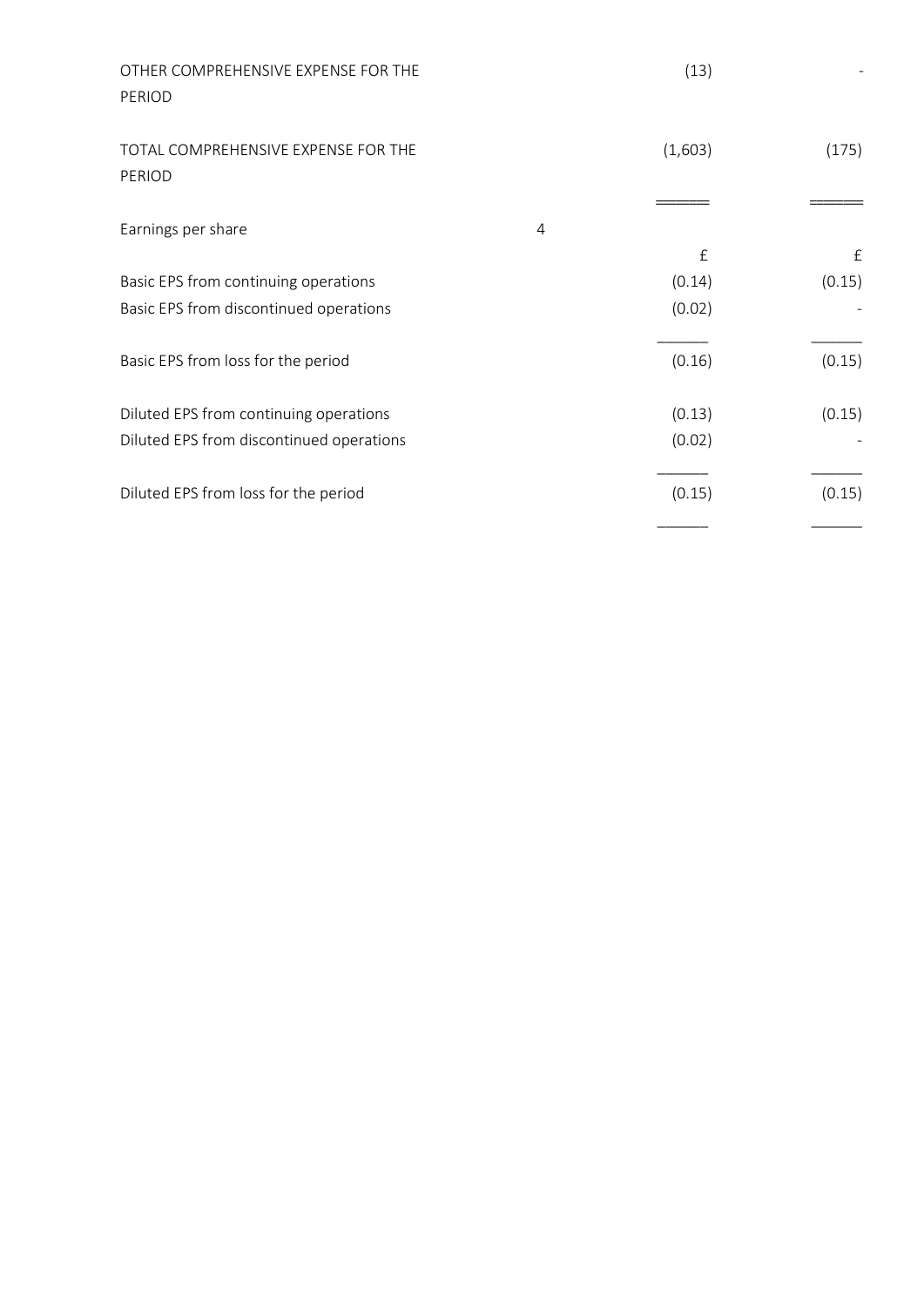| OTHER COMPREHENSIVE EXPENSE FOR THE<br>PERIOD |                | (13)    |              |
|-----------------------------------------------|----------------|---------|--------------|
| TOTAL COMPREHENSIVE EXPENSE FOR THE<br>PERIOD |                | (1,603) | (175)        |
| Earnings per share                            | $\overline{4}$ |         |              |
|                                               |                | £       | $\mathbf{f}$ |
| Basic EPS from continuing operations          |                | (0.14)  | (0.15)       |
| Basic EPS from discontinued operations        |                | (0.02)  |              |
| Basic EPS from loss for the period            |                | (0.16)  | (0.15)       |
| Diluted EPS from continuing operations        |                | (0.13)  | (0.15)       |
| Diluted EPS from discontinued operations      |                | (0.02)  |              |
| Diluted EPS from loss for the period          |                | (0.15)  | (0.15)       |
|                                               |                |         |              |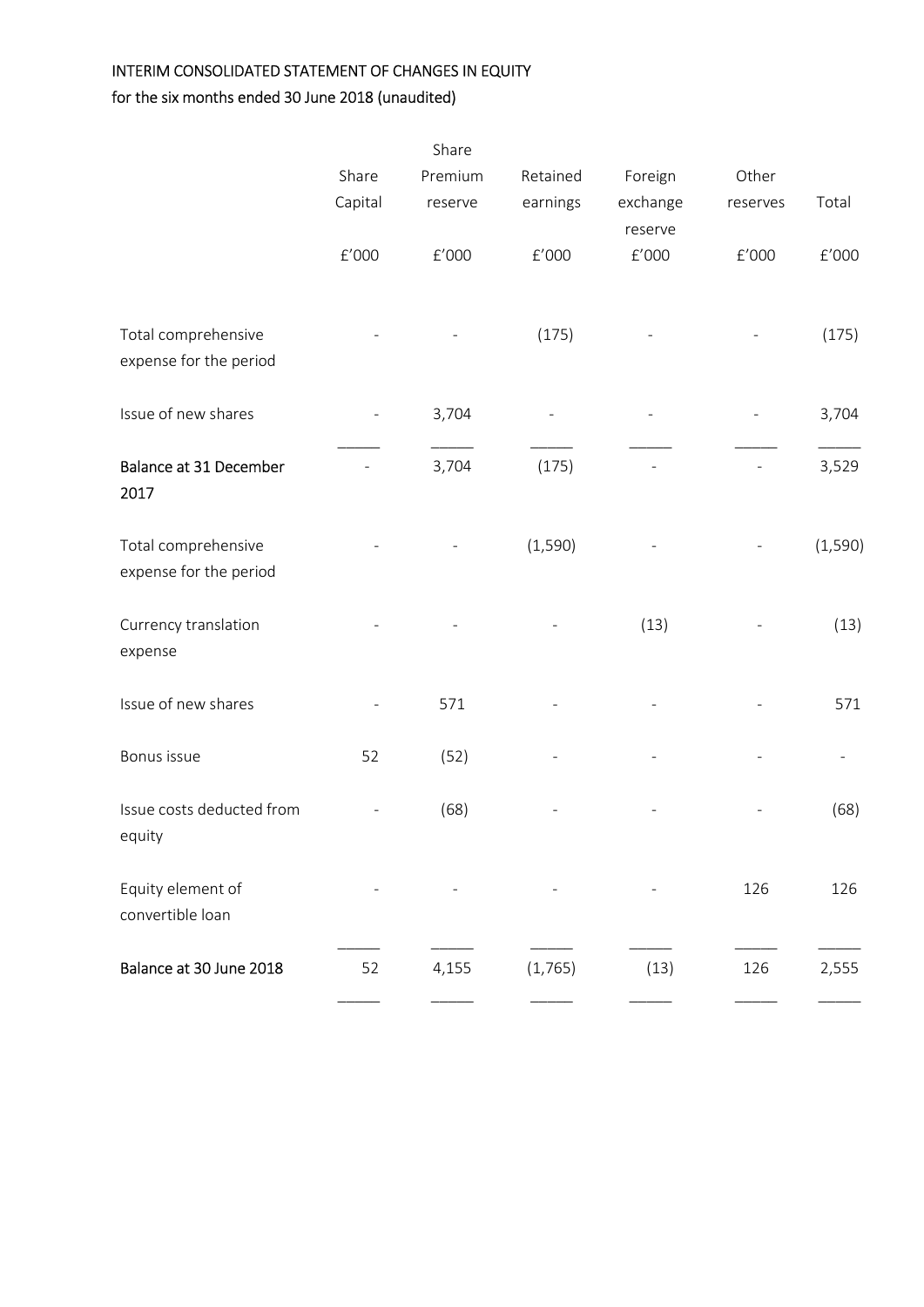# INTERIM CONSOLIDATED STATEMENT OF CHANGES IN EQUITY

for the six months ended 30 June 2018 (unaudited)

|                                       |                      | Share   |          |                      |          |          |
|---------------------------------------|----------------------|---------|----------|----------------------|----------|----------|
|                                       | Share                | Premium | Retained | Foreign              | Other    |          |
|                                       | Capital              | reserve | earnings | exchange             | reserves | Total    |
|                                       |                      |         |          | reserve              |          |          |
|                                       | $\rm{f}^{\prime}000$ | f'000   | f'000    | $\rm{f}^{\prime}000$ | f'000    | $E'000$  |
|                                       |                      |         |          |                      |          |          |
| Total comprehensive                   |                      |         | (175)    |                      |          | (175)    |
| expense for the period                |                      |         |          |                      |          |          |
|                                       |                      |         |          |                      |          |          |
| Issue of new shares                   |                      | 3,704   |          |                      |          | 3,704    |
|                                       |                      |         |          |                      |          |          |
| Balance at 31 December                |                      | 3,704   | (175)    |                      |          | 3,529    |
| 2017                                  |                      |         |          |                      |          |          |
|                                       |                      |         |          |                      |          |          |
| Total comprehensive                   |                      |         | (1, 590) |                      |          | (1, 590) |
| expense for the period                |                      |         |          |                      |          |          |
| Currency translation                  |                      |         |          | (13)                 |          | (13)     |
| expense                               |                      |         |          |                      |          |          |
|                                       |                      |         |          |                      |          |          |
| Issue of new shares                   |                      | 571     |          |                      |          | 571      |
|                                       |                      |         |          |                      |          |          |
| Bonus issue                           | 52                   | (52)    |          |                      |          |          |
|                                       |                      |         |          |                      |          |          |
| Issue costs deducted from             |                      | (68)    |          |                      |          | (68)     |
| equity                                |                      |         |          |                      |          |          |
|                                       |                      |         |          |                      |          |          |
| Equity element of<br>convertible loan |                      |         |          |                      | 126      | 126      |
|                                       |                      |         |          |                      |          |          |
| Balance at 30 June 2018               | 52                   | 4,155   | (1,765)  | (13)                 | 126      | 2,555    |
|                                       |                      |         |          |                      |          |          |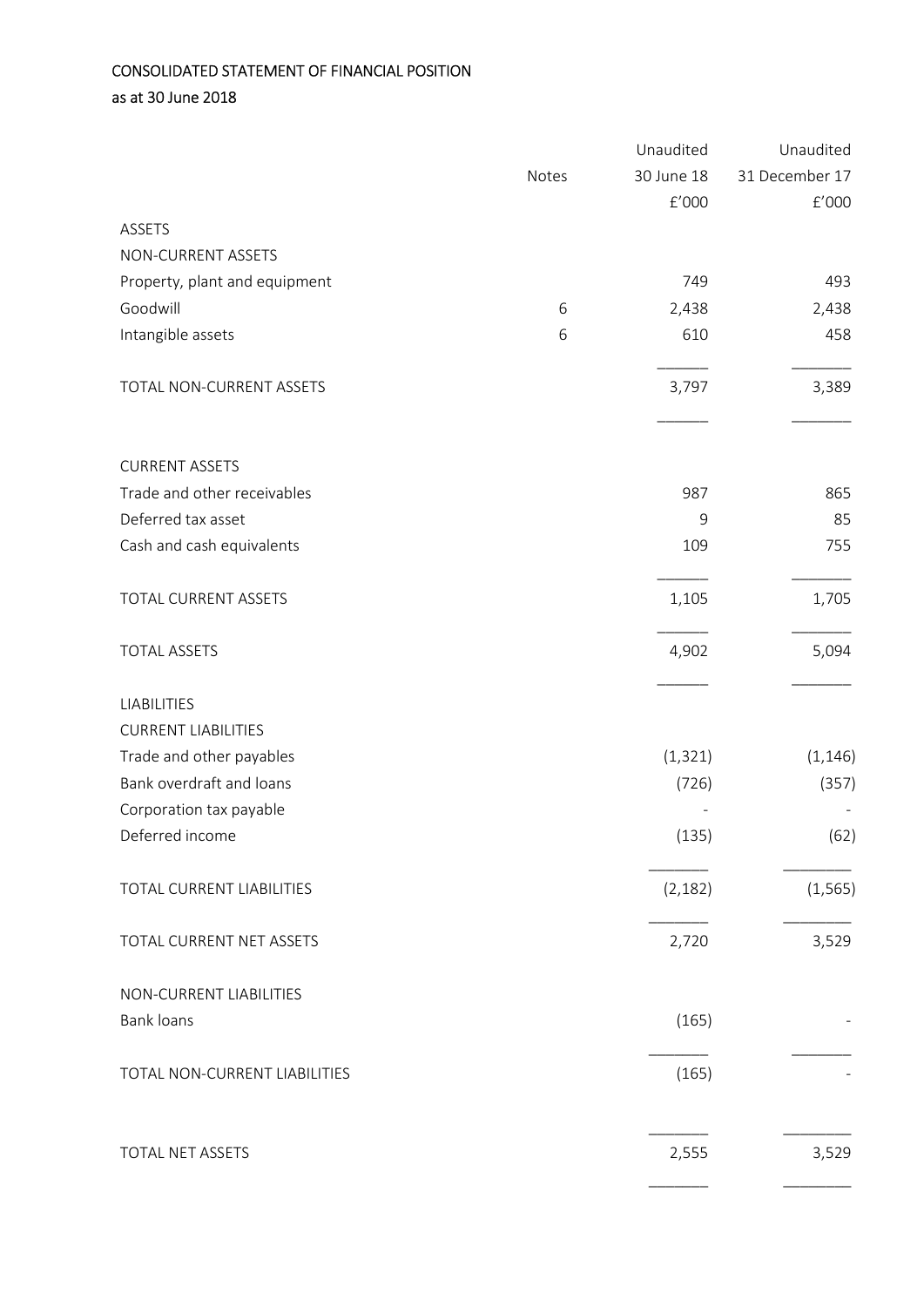# CONSOLIDATED STATEMENT OF FINANCIAL POSITION as at 30 June 2018

|                               |       | Unaudited  | Unaudited            |
|-------------------------------|-------|------------|----------------------|
|                               | Notes | 30 June 18 | 31 December 17       |
|                               |       | f'000      | $\rm{f}^{\prime}000$ |
| <b>ASSETS</b>                 |       |            |                      |
| NON-CURRENT ASSETS            |       |            |                      |
| Property, plant and equipment |       | 749        | 493                  |
| Goodwill                      | 6     | 2,438      | 2,438                |
| Intangible assets             | 6     | 610        | 458                  |
| TOTAL NON-CURRENT ASSETS      |       | 3,797      | 3,389                |
| <b>CURRENT ASSETS</b>         |       |            |                      |
| Trade and other receivables   |       | 987        | 865                  |
| Deferred tax asset            |       | 9          | 85                   |
| Cash and cash equivalents     |       | 109        | 755                  |
| TOTAL CURRENT ASSETS          |       | 1,105      | 1,705                |
| <b>TOTAL ASSETS</b>           |       | 4,902      | 5,094                |
| <b>LIABILITIES</b>            |       |            |                      |
| <b>CURRENT LIABILITIES</b>    |       |            |                      |
| Trade and other payables      |       | (1, 321)   | (1, 146)             |
| Bank overdraft and loans      |       | (726)      | (357)                |
| Corporation tax payable       |       |            |                      |
| Deferred income               |       | (135)      | (62)                 |
| TOTAL CURRENT LIABILITIES     |       | (2, 182)   | (1, 565)             |
| TOTAL CURRENT NET ASSETS      |       | 2,720      | 3,529                |
| NON-CURRENT LIABILITIES       |       |            |                      |
| Bank loans                    |       | (165)      |                      |
| TOTAL NON-CURRENT LIABILITIES |       | (165)      |                      |
| TOTAL NET ASSETS              |       | 2,555      | 3,529                |
|                               |       |            |                      |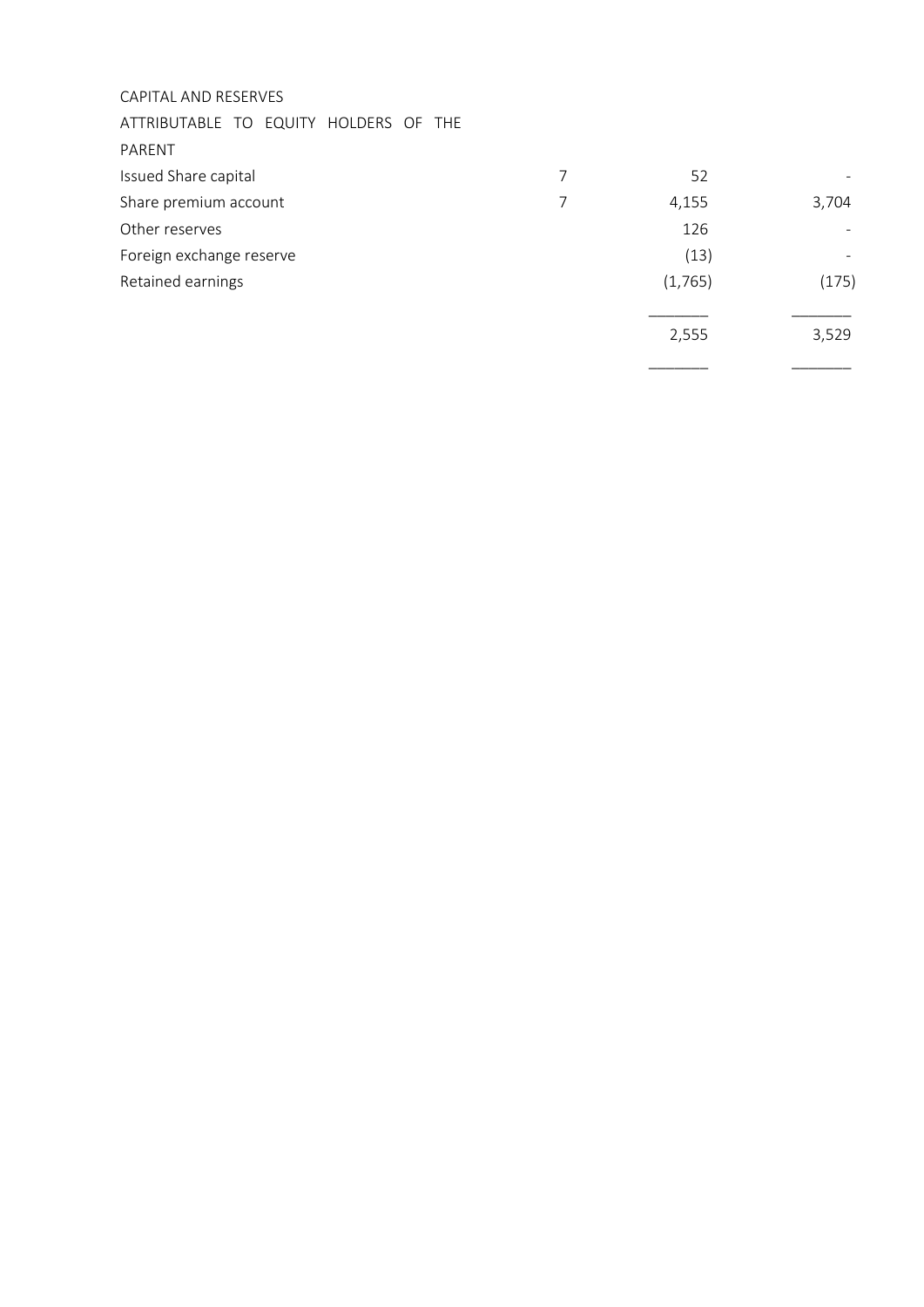### CAPITAL AND RESERVES

ATTRIBUTABLE TO EQUITY HOLDERS OF THE

PARENT

| Issued Share capital     | 52      |       |
|--------------------------|---------|-------|
| Share premium account    | 4,155   | 3,704 |
| Other reserves           | 126     |       |
| Foreign exchange reserve | (13)    |       |
| Retained earnings        | (1,765) | (175) |
|                          | 2,555   | 3,529 |
|                          |         |       |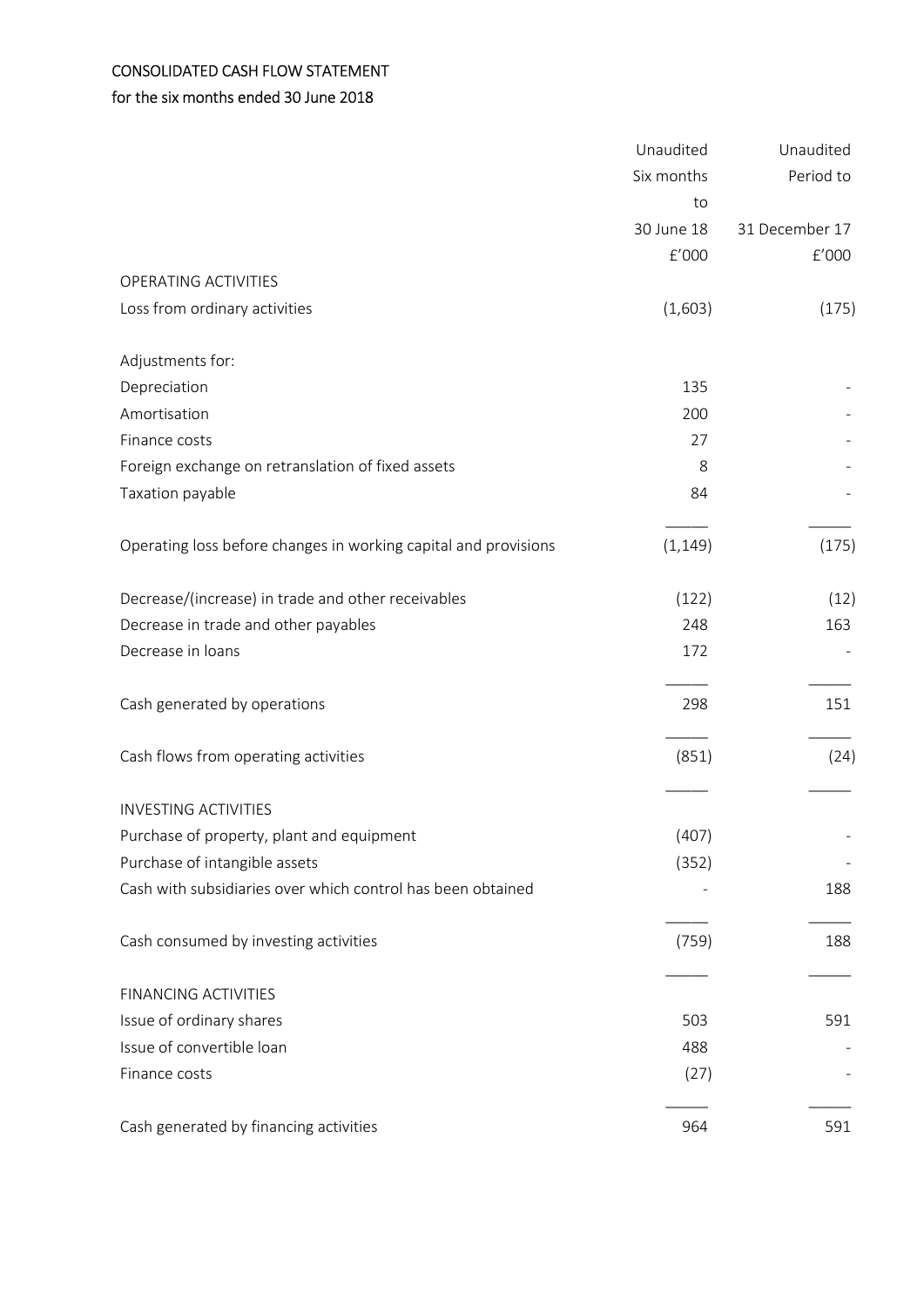# CONSOLIDATED CASH FLOW STATEMENT

# for the six months ended 30 June 2018

|                                                                 | Unaudited  | Unaudited      |
|-----------------------------------------------------------------|------------|----------------|
|                                                                 | Six months | Period to      |
|                                                                 | to         |                |
|                                                                 | 30 June 18 | 31 December 17 |
|                                                                 | f'000      | f'000          |
| OPERATING ACTIVITIES                                            |            |                |
| Loss from ordinary activities                                   | (1,603)    | (175)          |
| Adjustments for:                                                |            |                |
| Depreciation                                                    | 135        |                |
| Amortisation                                                    | 200        |                |
| Finance costs                                                   | 27         |                |
| Foreign exchange on retranslation of fixed assets               | 8          |                |
| Taxation payable                                                | 84         |                |
| Operating loss before changes in working capital and provisions | (1, 149)   | (175)          |
| Decrease/(increase) in trade and other receivables              | (122)      | (12)           |
| Decrease in trade and other payables                            | 248        | 163            |
| Decrease in loans                                               | 172        |                |
| Cash generated by operations                                    | 298        | 151            |
| Cash flows from operating activities                            | (851)      | (24)           |
| <b>INVESTING ACTIVITIES</b>                                     |            |                |
| Purchase of property, plant and equipment                       | (407)      |                |
| Purchase of intangible assets                                   | (352)      |                |
| Cash with subsidiaries over which control has been obtained     |            | 188            |
| Cash consumed by investing activities                           | (759)      | 188            |
| <b>FINANCING ACTIVITIES</b>                                     |            |                |
| Issue of ordinary shares                                        | 503        | 591            |
| Issue of convertible loan                                       | 488        |                |
| Finance costs                                                   | (27)       |                |
| Cash generated by financing activities                          | 964        | 591            |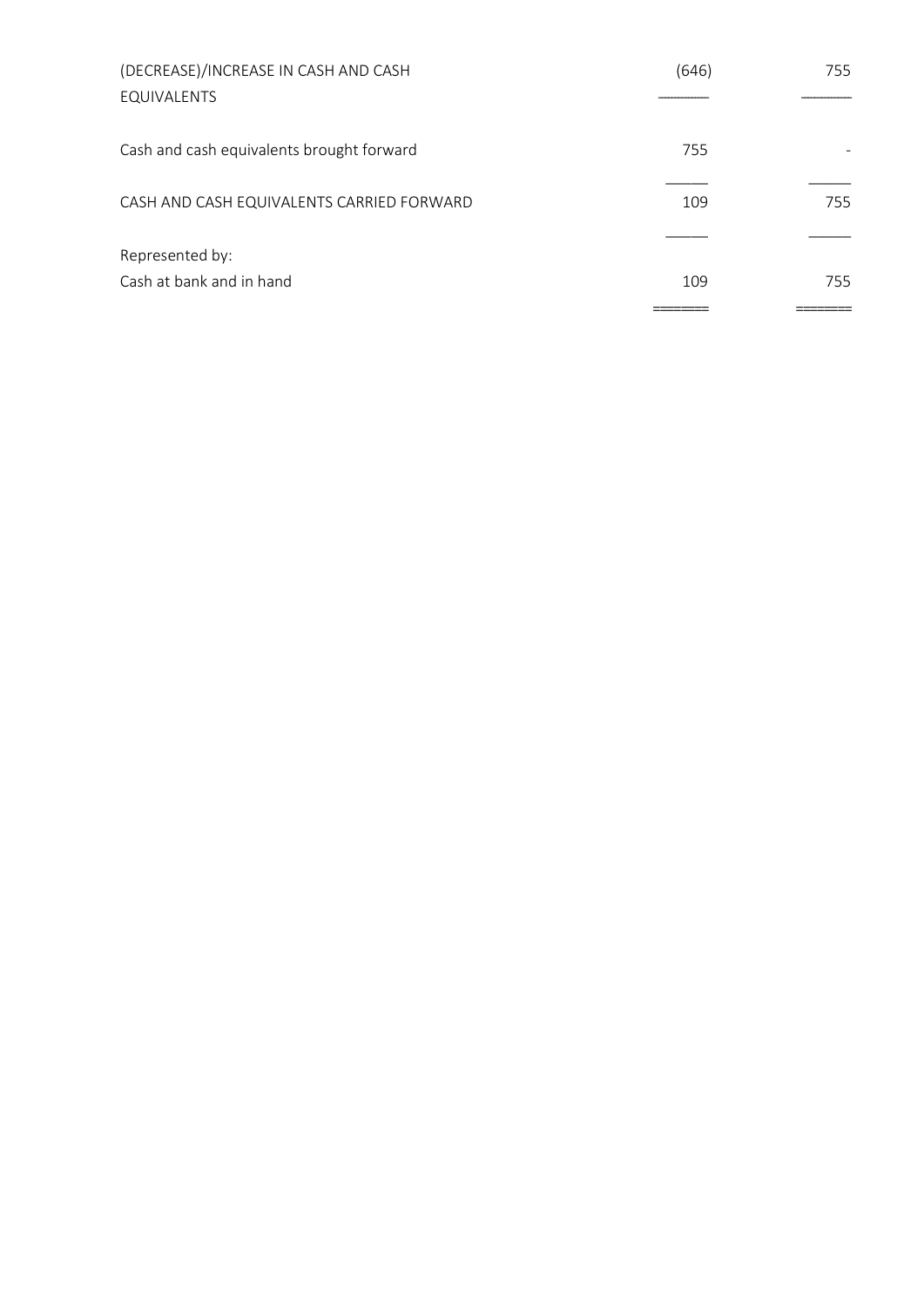| (DECREASE)/INCREASE IN CASH AND CASH      | (646) | 755 |
|-------------------------------------------|-------|-----|
| EQUIVALENTS                               |       |     |
| Cash and cash equivalents brought forward | 755   |     |
| CASH AND CASH EQUIVALENTS CARRIED FORWARD | 109   | 755 |
| Represented by:                           |       |     |
| Cash at bank and in hand                  | 109   | 755 |
|                                           |       |     |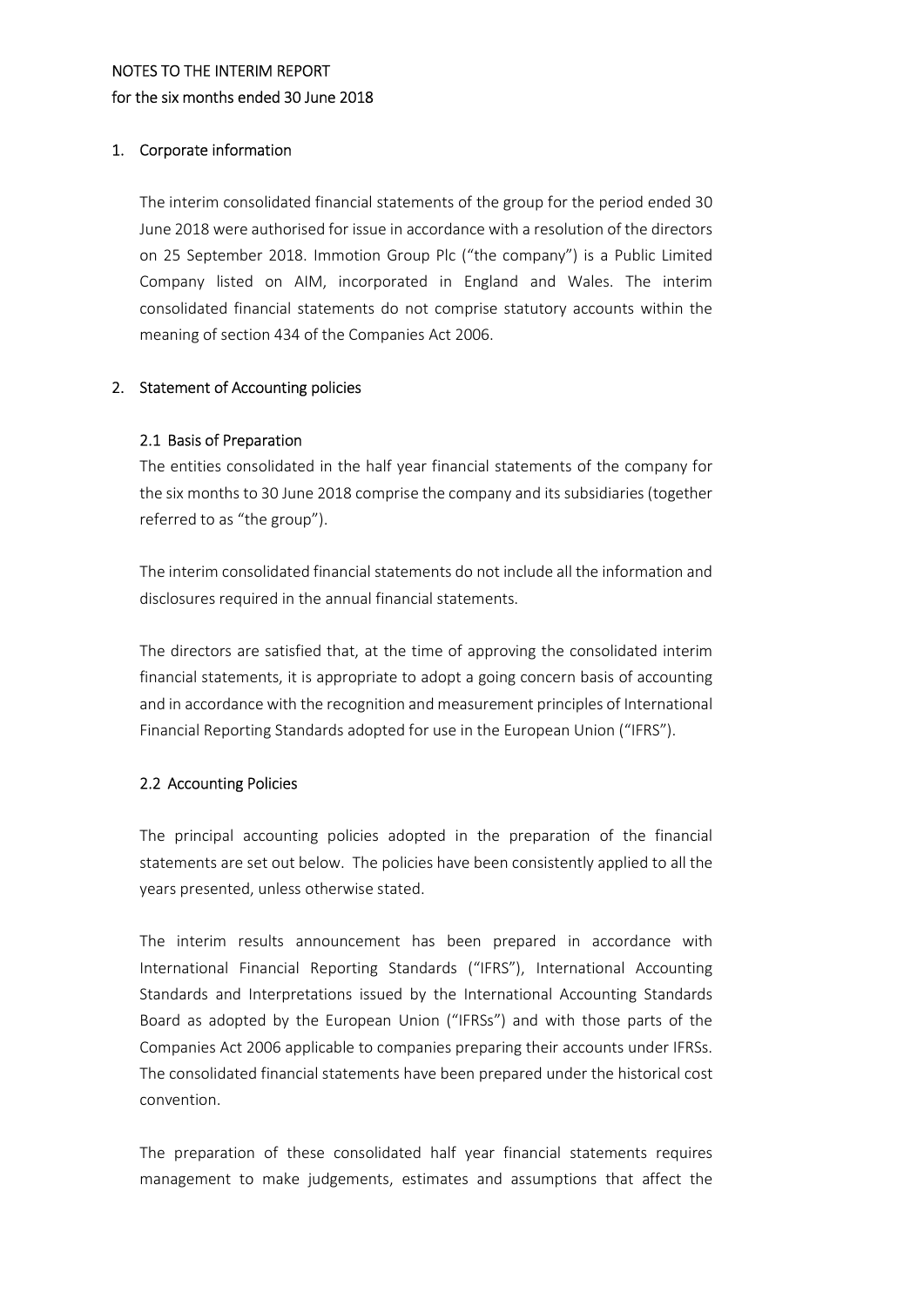### NOTES TO THE INTERIM REPORT for the six months ended 30 June 2018

#### 1. Corporate information

The interim consolidated financial statements of the group for the period ended 30 June 2018 were authorised for issue in accordance with a resolution of the directors on 25 September 2018. Immotion Group Plc ("the company") is a Public Limited Company listed on AIM, incorporated in England and Wales. The interim consolidated financial statements do not comprise statutory accounts within the meaning of section 434 of the Companies Act 2006.

#### 2. Statement of Accounting policies

#### 2.1 Basis of Preparation

The entities consolidated in the half year financial statements of the company for the six months to 30 June 2018 comprise the company and its subsidiaries (together referred to as "the group").

The interim consolidated financial statements do not include all the information and disclosures required in the annual financial statements.

The directors are satisfied that, at the time of approving the consolidated interim financial statements, it is appropriate to adopt a going concern basis of accounting and in accordance with the recognition and measurement principles of International Financial Reporting Standards adopted for use in the European Union ("IFRS").

### 2.2 Accounting Policies

The principal accounting policies adopted in the preparation of the financial statements are set out below. The policies have been consistently applied to all the years presented, unless otherwise stated.

The interim results announcement has been prepared in accordance with International Financial Reporting Standards ("IFRS"), International Accounting Standards and Interpretations issued by the International Accounting Standards Board as adopted by the European Union ("IFRSs") and with those parts of the Companies Act 2006 applicable to companies preparing their accounts under IFRSs. The consolidated financial statements have been prepared under the historical cost convention.

The preparation of these consolidated half year financial statements requires management to make judgements, estimates and assumptions that affect the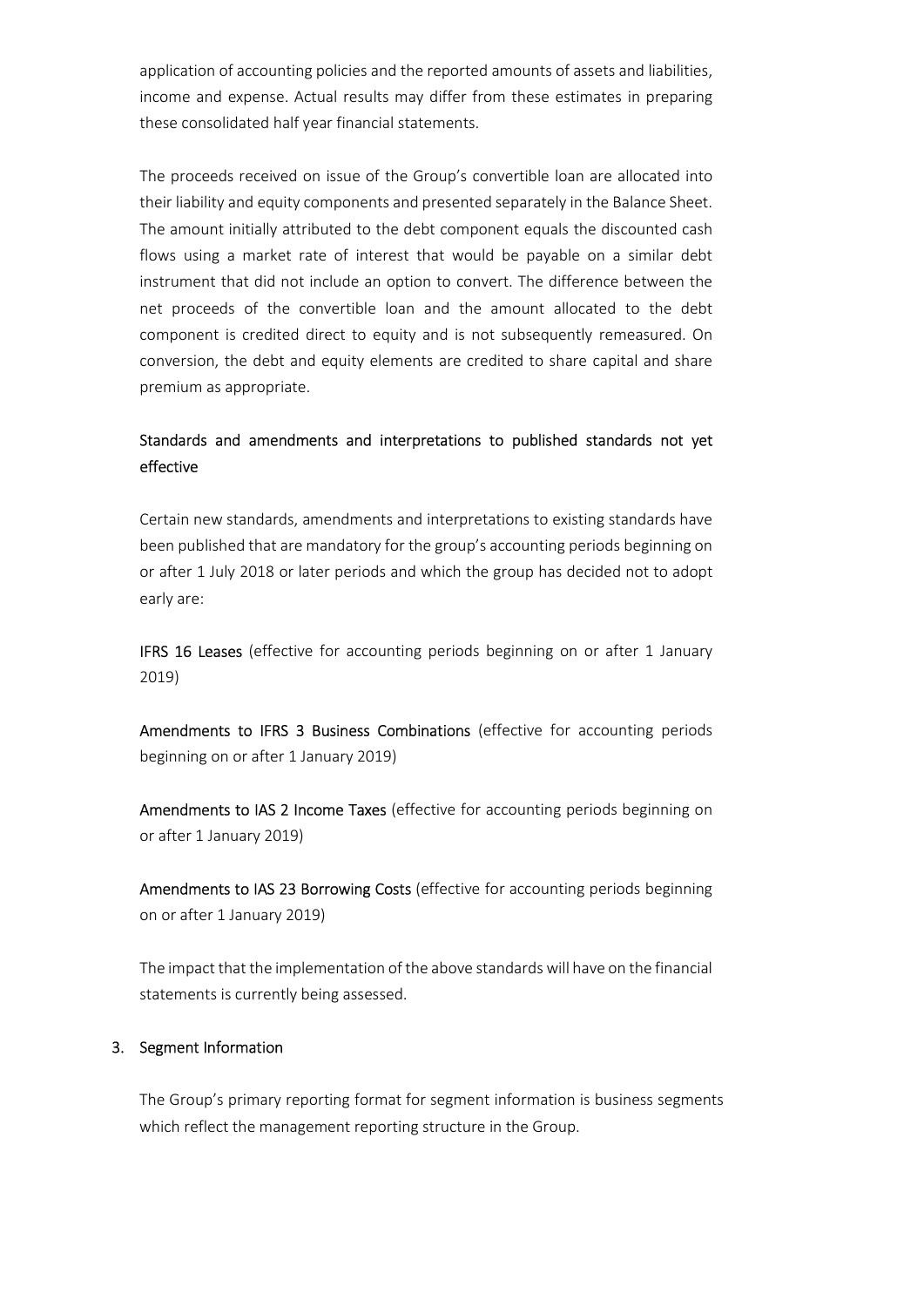application of accounting policies and the reported amounts of assets and liabilities, income and expense. Actual results may differ from these estimates in preparing these consolidated half year financial statements.

The proceeds received on issue of the Group's convertible loan are allocated into their liability and equity components and presented separately in the Balance Sheet. The amount initially attributed to the debt component equals the discounted cash flows using a market rate of interest that would be payable on a similar debt instrument that did not include an option to convert. The difference between the net proceeds of the convertible loan and the amount allocated to the debt component is credited direct to equity and is not subsequently remeasured. On conversion, the debt and equity elements are credited to share capital and share premium as appropriate.

### Standards and amendments and interpretations to published standards not yet effective

Certain new standards, amendments and interpretations to existing standards have been published that are mandatory for the group's accounting periods beginning on or after 1 July 2018 or later periods and which the group has decided not to adopt early are:

IFRS 16 Leases (effective for accounting periods beginning on or after 1 January 2019)

Amendments to IFRS 3 Business Combinations (effective for accounting periods beginning on or after 1 January 2019)

Amendments to IAS 2 Income Taxes (effective for accounting periods beginning on or after 1 January 2019)

Amendments to IAS 23 Borrowing Costs (effective for accounting periods beginning on or after 1 January 2019)

The impact that the implementation of the above standards will have on the financial statements is currently being assessed.

#### 3. Segment Information

The Group's primary reporting format for segment information is business segments which reflect the management reporting structure in the Group.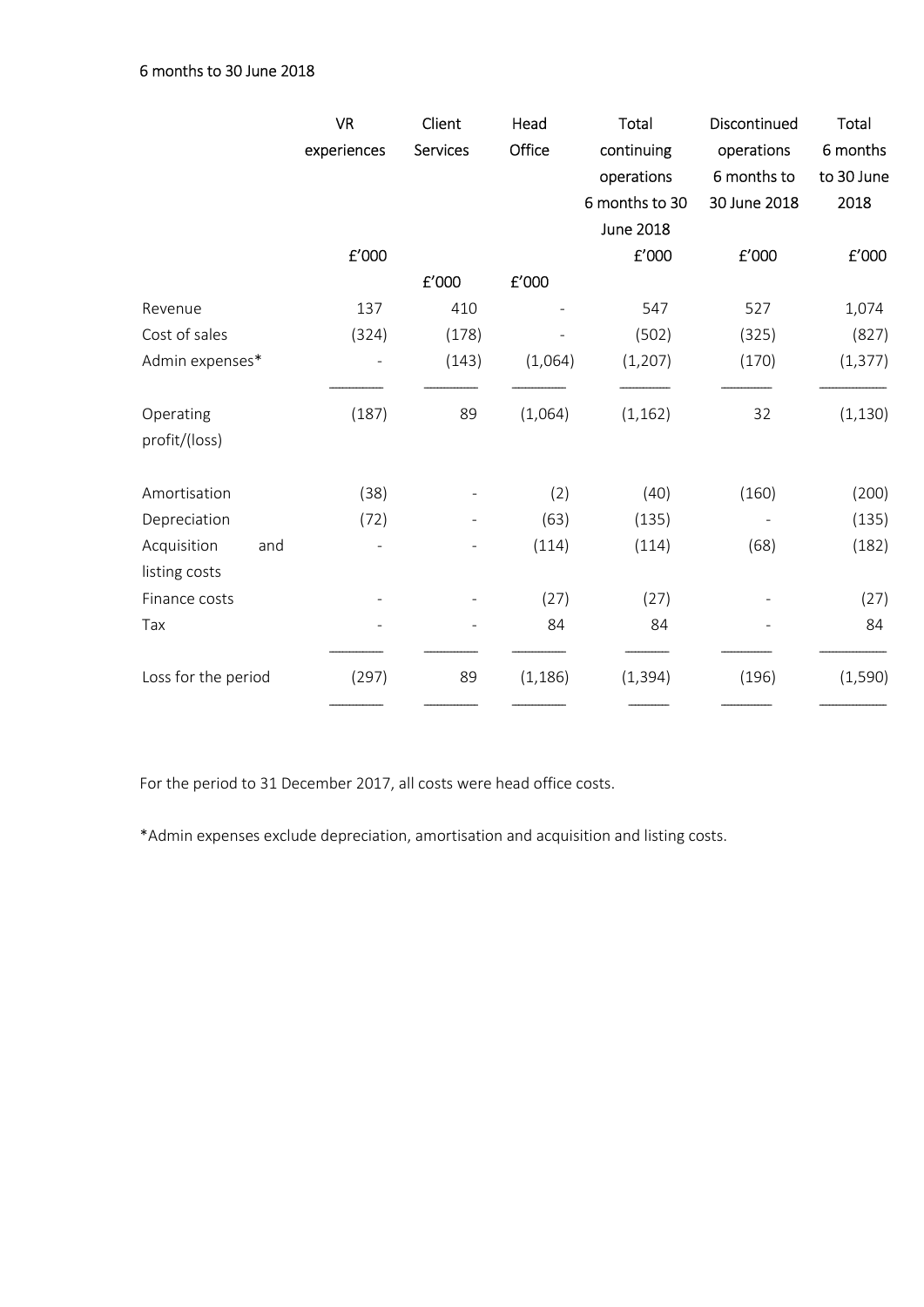|                     | <b>VR</b><br>experiences | Client<br><b>Services</b> | Head<br>Office        | Total<br>continuing<br>operations<br>6 months to 30 | Discontinued<br>operations<br>6 months to<br>30 June 2018 | Total<br>6 months<br>to 30 June<br>2018 |
|---------------------|--------------------------|---------------------------|-----------------------|-----------------------------------------------------|-----------------------------------------------------------|-----------------------------------------|
|                     |                          |                           |                       | <b>June 2018</b>                                    |                                                           |                                         |
|                     | $\text{f}'000$           |                           |                       | $\pmb{\mathsf{E}}'$ 000                             | ${\tt f}^{\prime}000$                                     | £'000                                   |
|                     |                          | £'000                     | ${\tt f}^{\prime}000$ |                                                     |                                                           |                                         |
| Revenue             | 137                      | 410                       |                       | 547                                                 | 527                                                       | 1,074                                   |
| Cost of sales       | (324)                    | (178)                     |                       | (502)                                               | (325)                                                     | (827)                                   |
| Admin expenses*     |                          | (143)                     | (1,064)               | (1, 207)                                            | (170)                                                     | (1, 377)                                |
| Operating           | (187)                    | 89                        | (1,064)               | (1, 162)                                            | 32                                                        | (1, 130)                                |
| profit/(loss)       |                          |                           |                       |                                                     |                                                           |                                         |
| Amortisation        | (38)                     |                           | (2)                   | (40)                                                | (160)                                                     | (200)                                   |
| Depreciation        | (72)                     |                           | (63)                  | (135)                                               |                                                           | (135)                                   |
| Acquisition<br>and  |                          |                           | (114)                 | (114)                                               | (68)                                                      | (182)                                   |
| listing costs       |                          |                           |                       |                                                     |                                                           |                                         |
| Finance costs       |                          |                           | (27)                  | (27)                                                |                                                           | (27)                                    |
| Tax                 |                          |                           | 84                    | 84                                                  |                                                           | 84                                      |
| Loss for the period | (297)                    | 89                        | (1, 186)              | (1, 394)                                            | (196)                                                     | (1, 590)                                |
|                     |                          |                           |                       |                                                     |                                                           |                                         |

For the period to 31 December 2017, all costs were head office costs.

\*Admin expenses exclude depreciation, amortisation and acquisition and listing costs.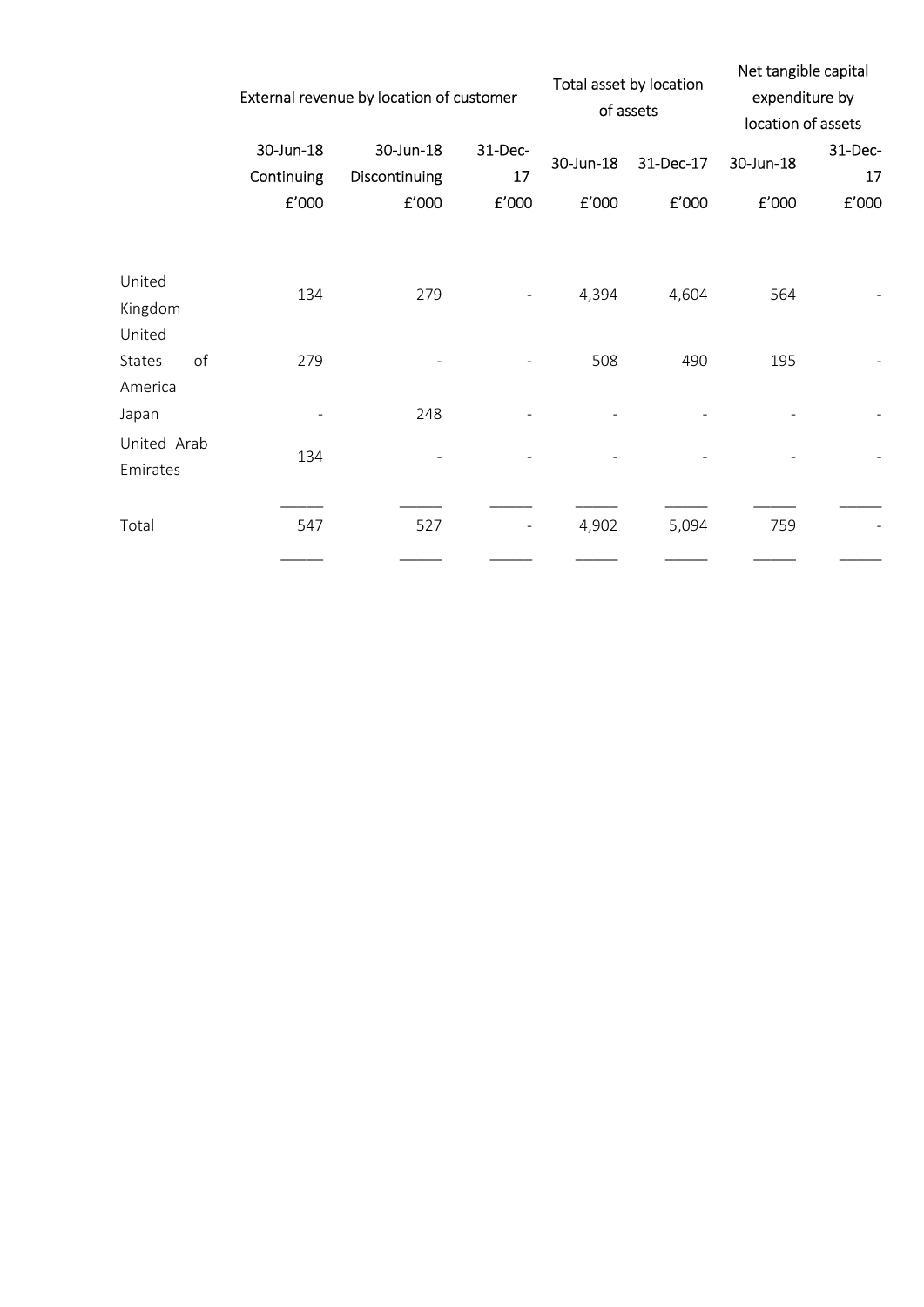|                             |    |                         | External revenue by location of customer |               |           | Total asset by location<br>of assets | Net tangible capital<br>expenditure by<br>location of assets |               |
|-----------------------------|----|-------------------------|------------------------------------------|---------------|-----------|--------------------------------------|--------------------------------------------------------------|---------------|
|                             |    | 30-Jun-18<br>Continuing | 30-Jun-18<br>Discontinuing               | 31-Dec-<br>17 | 30-Jun-18 | 31-Dec-17                            | 30-Jun-18                                                    | 31-Dec-<br>17 |
|                             |    | f'000                   | £'000                                    | E'000         | £'000     | £'000                                | £'000                                                        | f'000         |
| United<br>Kingdom<br>United |    | 134                     | 279                                      |               | 4,394     | 4,604                                | 564                                                          |               |
| <b>States</b><br>America    | of | 279                     |                                          |               | 508       | 490                                  | 195                                                          |               |
| Japan                       |    |                         | 248                                      |               |           |                                      |                                                              |               |
| United Arab<br>Emirates     |    | 134                     |                                          |               |           |                                      |                                                              |               |
| Total                       |    | 547                     | 527                                      |               | 4,902     | 5,094                                | 759                                                          |               |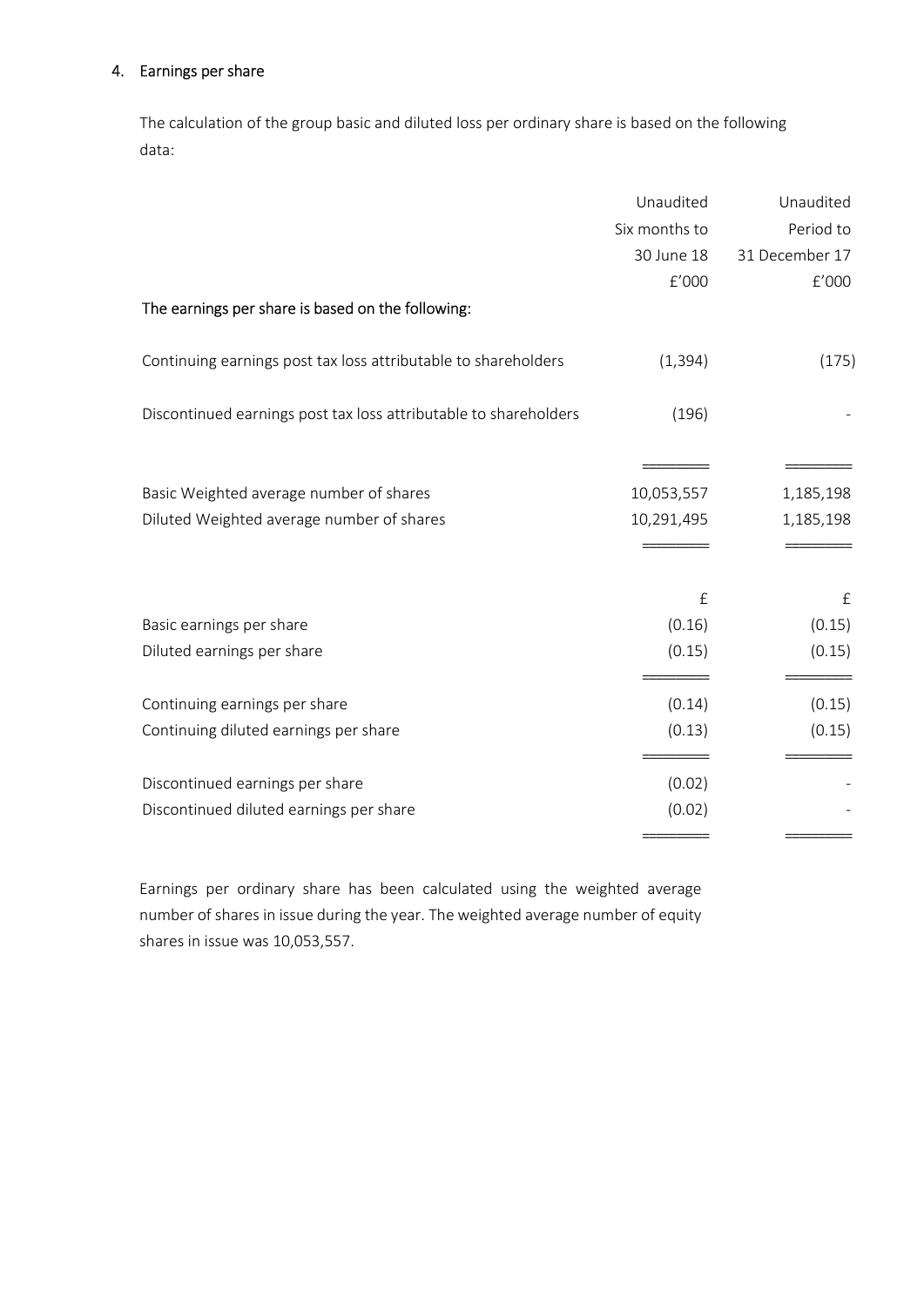#### 4. Earnings per share

The calculation of the group basic and diluted loss per ordinary share is based on the following data:

|                                                                  | Unaudited     | Unaudited      |
|------------------------------------------------------------------|---------------|----------------|
|                                                                  | Six months to | Period to      |
|                                                                  | 30 June 18    | 31 December 17 |
|                                                                  | f'000         | f'000          |
| The earnings per share is based on the following:                |               |                |
| Continuing earnings post tax loss attributable to shareholders   | (1, 394)      | (175)          |
| Discontinued earnings post tax loss attributable to shareholders | (196)         |                |
|                                                                  |               |                |
| Basic Weighted average number of shares                          | 10,053,557    | 1,185,198      |
| Diluted Weighted average number of shares                        | 10,291,495    | 1,185,198      |
|                                                                  |               |                |
|                                                                  | £             | £              |
| Basic earnings per share                                         | (0.16)        | (0.15)         |
| Diluted earnings per share                                       | (0.15)        | (0.15)         |
| Continuing earnings per share                                    | (0.14)        | (0.15)         |
| Continuing diluted earnings per share                            | (0.13)        | (0.15)         |
| Discontinued earnings per share                                  | (0.02)        |                |
| Discontinued diluted earnings per share                          | (0.02)        |                |
|                                                                  |               |                |

Earnings per ordinary share has been calculated using the weighted average number of shares in issue during the year. The weighted average number of equity shares in issue was 10,053,557.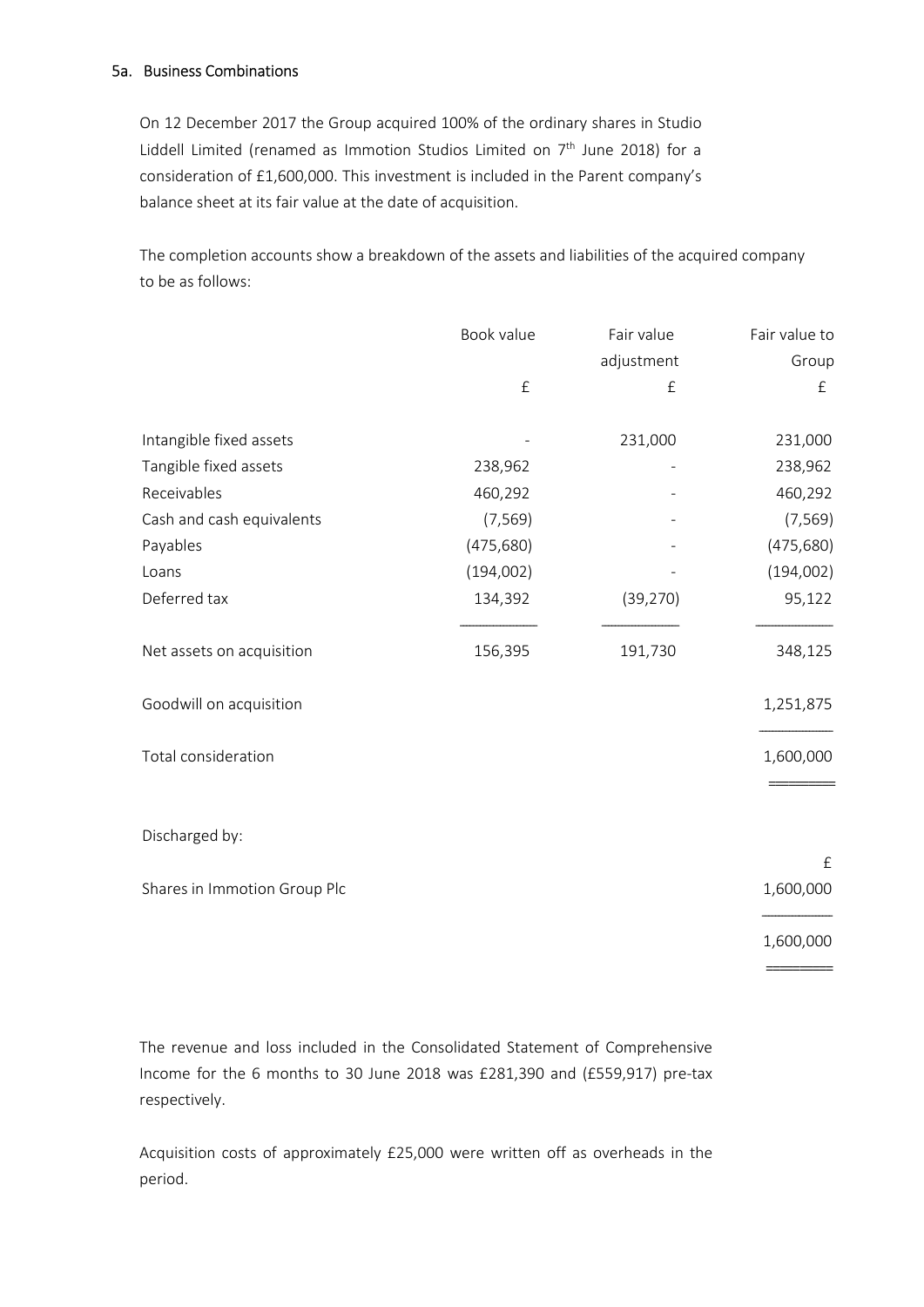#### 5a. Business Combinations

On 12 December 2017 the Group acquired 100% of the ordinary shares in Studio Liddell Limited (renamed as Immotion Studios Limited on  $7<sup>th</sup>$  June 2018) for a consideration of £1,600,000. This investment is included in the Parent company's balance sheet at its fair value at the date of acquisition.

The completion accounts show a breakdown of the assets and liabilities of the acquired company to be as follows:

|                              | Book value | Fair value | Fair value to          |
|------------------------------|------------|------------|------------------------|
|                              |            | adjustment | Group                  |
|                              | $\pounds$  | £          | £                      |
| Intangible fixed assets      |            | 231,000    | 231,000                |
| Tangible fixed assets        | 238,962    |            | 238,962                |
| Receivables                  | 460,292    |            | 460,292                |
| Cash and cash equivalents    | (7, 569)   |            | (7, 569)               |
| Payables                     | (475, 680) |            | (475, 680)             |
| Loans                        | (194,002)  |            | (194,002)              |
| Deferred tax                 | 134,392    | (39, 270)  | 95,122                 |
| Net assets on acquisition    | 156,395    | 191,730    | 348,125                |
| Goodwill on acquisition      |            |            | 1,251,875              |
| Total consideration          |            |            | 1,600,000              |
| Discharged by:               |            |            |                        |
| Shares in Immotion Group Plc |            |            | $\pounds$<br>1,600,000 |
|                              |            |            | 1,600,000              |
|                              |            |            |                        |

The revenue and loss included in the Consolidated Statement of Comprehensive Income for the 6 months to 30 June 2018 was £281,390 and (£559,917) pre-tax respectively.

Acquisition costs of approximately £25,000 were written off as overheads in the period.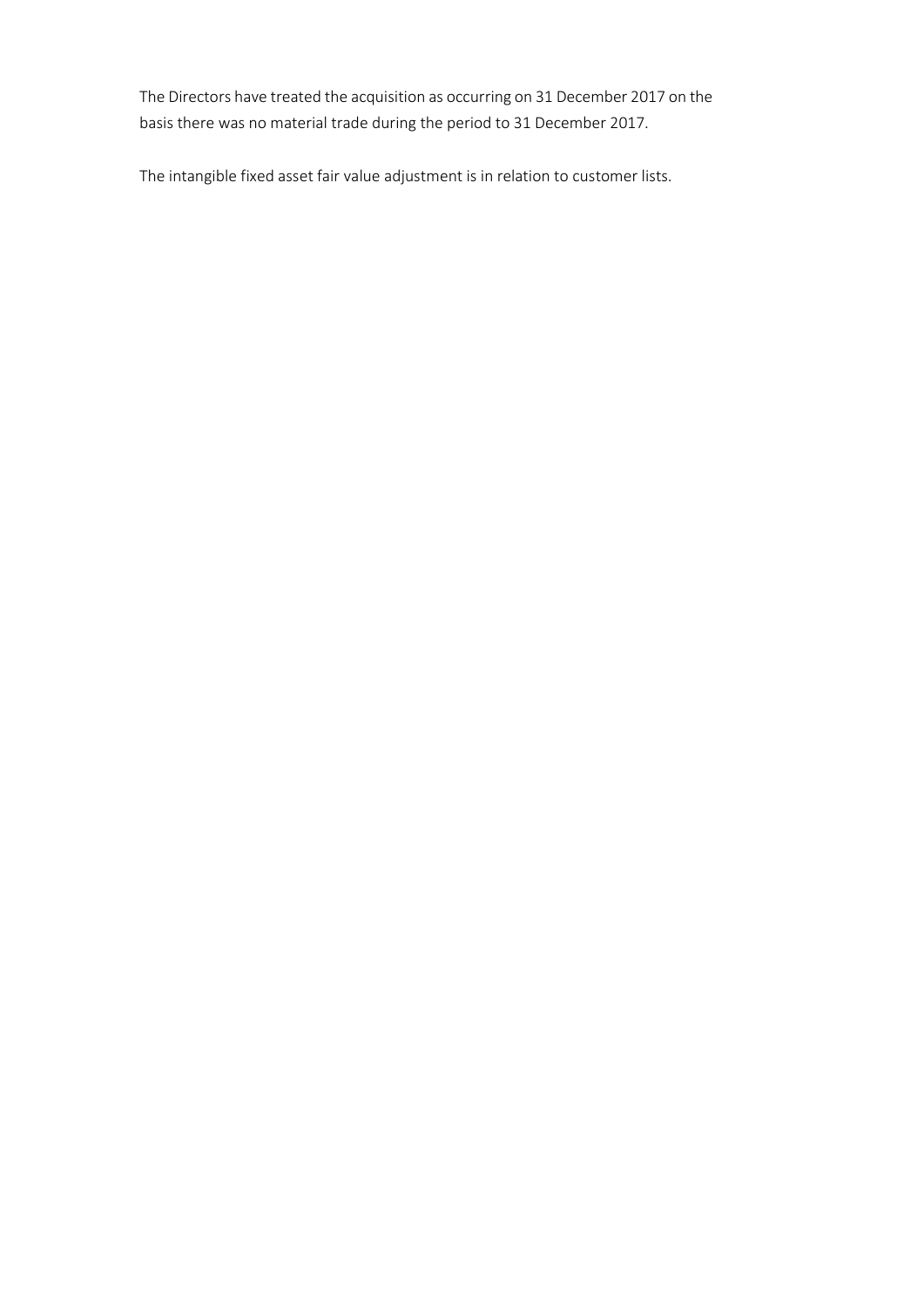The Directors have treated the acquisition as occurring on 31 December 2017 on the basis there was no material trade during the period to 31 December 2017.

The intangible fixed asset fair value adjustment is in relation to customer lists.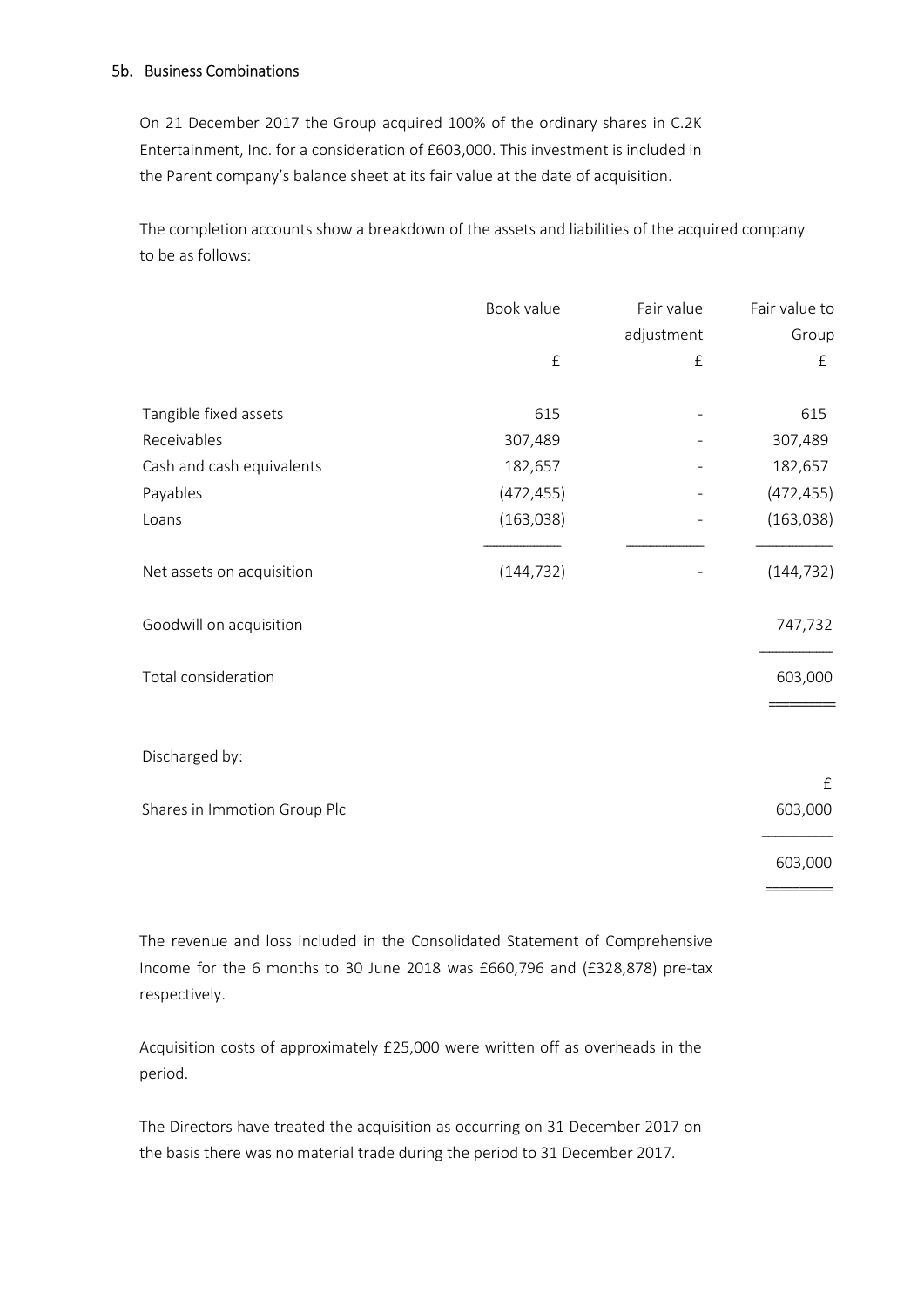#### 5b. Business Combinations

On 21 December 2017 the Group acquired 100% of the ordinary shares in C.2K Entertainment, Inc. for a consideration of £603,000. This investment is included in the Parent company's balance sheet at its fair value at the date of acquisition.

The completion accounts show a breakdown of the assets and liabilities of the acquired company to be as follows:

|                              | Book value | Fair value | Fair value to |
|------------------------------|------------|------------|---------------|
|                              |            | adjustment | Group         |
|                              | $\pounds$  | $\pounds$  | £             |
| Tangible fixed assets        | 615        |            | 615           |
| Receivables                  | 307,489    |            | 307,489       |
| Cash and cash equivalents    | 182,657    |            | 182,657       |
| Payables                     | (472, 455) |            | (472, 455)    |
| Loans                        | (163, 038) |            | (163, 038)    |
| Net assets on acquisition    | (144, 732) |            | (144, 732)    |
| Goodwill on acquisition      |            |            | 747,732       |
| Total consideration          |            |            | 603,000       |
| Discharged by:               |            |            |               |
|                              |            |            | £             |
| Shares in Immotion Group Plc |            |            | 603,000       |
|                              |            |            | 603,000       |

==========

The revenue and loss included in the Consolidated Statement of Comprehensive Income for the 6 months to 30 June 2018 was £660,796 and (£328,878) pre-tax respectively.

Acquisition costs of approximately £25,000 were written off as overheads in the period.

The Directors have treated the acquisition as occurring on 31 December 2017 on the basis there was no material trade during the period to 31 December 2017.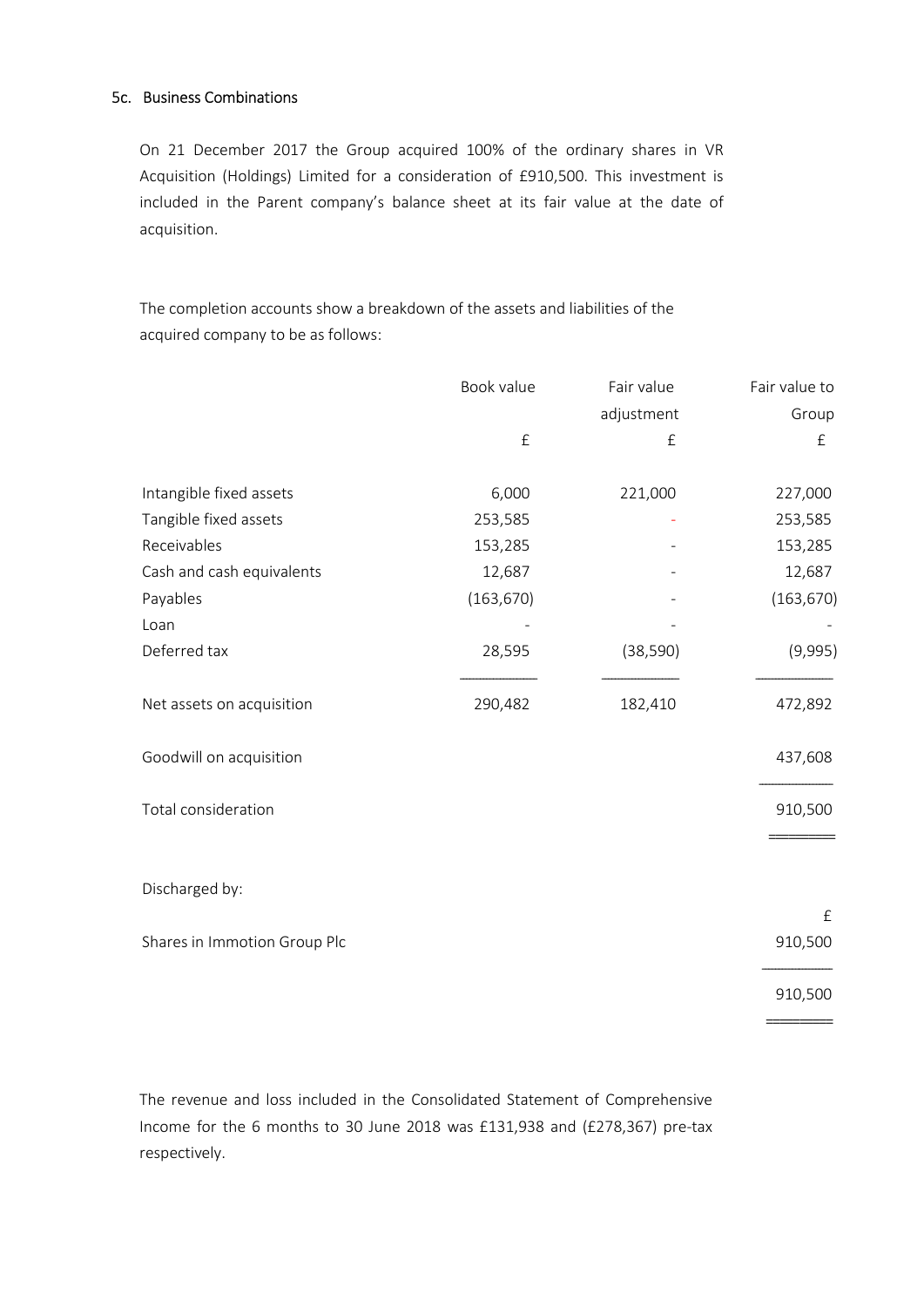#### 5c. Business Combinations

On 21 December 2017 the Group acquired 100% of the ordinary shares in VR Acquisition (Holdings) Limited for a consideration of £910,500. This investment is included in the Parent company's balance sheet at its fair value at the date of acquisition.

The completion accounts show a breakdown of the assets and liabilities of the acquired company to be as follows:

|                              | Book value | Fair value | Fair value to |
|------------------------------|------------|------------|---------------|
|                              |            | adjustment | Group         |
|                              | $\pounds$  | £          | £             |
| Intangible fixed assets      | 6,000      | 221,000    | 227,000       |
| Tangible fixed assets        | 253,585    |            | 253,585       |
| Receivables                  | 153,285    |            | 153,285       |
| Cash and cash equivalents    | 12,687     |            | 12,687        |
| Payables                     | (163, 670) |            | (163, 670)    |
| Loan                         |            |            |               |
| Deferred tax                 | 28,595     | (38, 590)  | (9,995)       |
| Net assets on acquisition    | 290,482    | 182,410    | 472,892       |
| Goodwill on acquisition      |            |            | 437,608       |
| Total consideration          |            |            | 910,500       |
| Discharged by:               |            |            |               |
|                              |            |            | $\pounds$     |
| Shares in Immotion Group Plc |            |            | 910,500       |
|                              |            |            | 910,500       |
|                              |            |            |               |

The revenue and loss included in the Consolidated Statement of Comprehensive Income for the 6 months to 30 June 2018 was £131,938 and (£278,367) pre-tax respectively.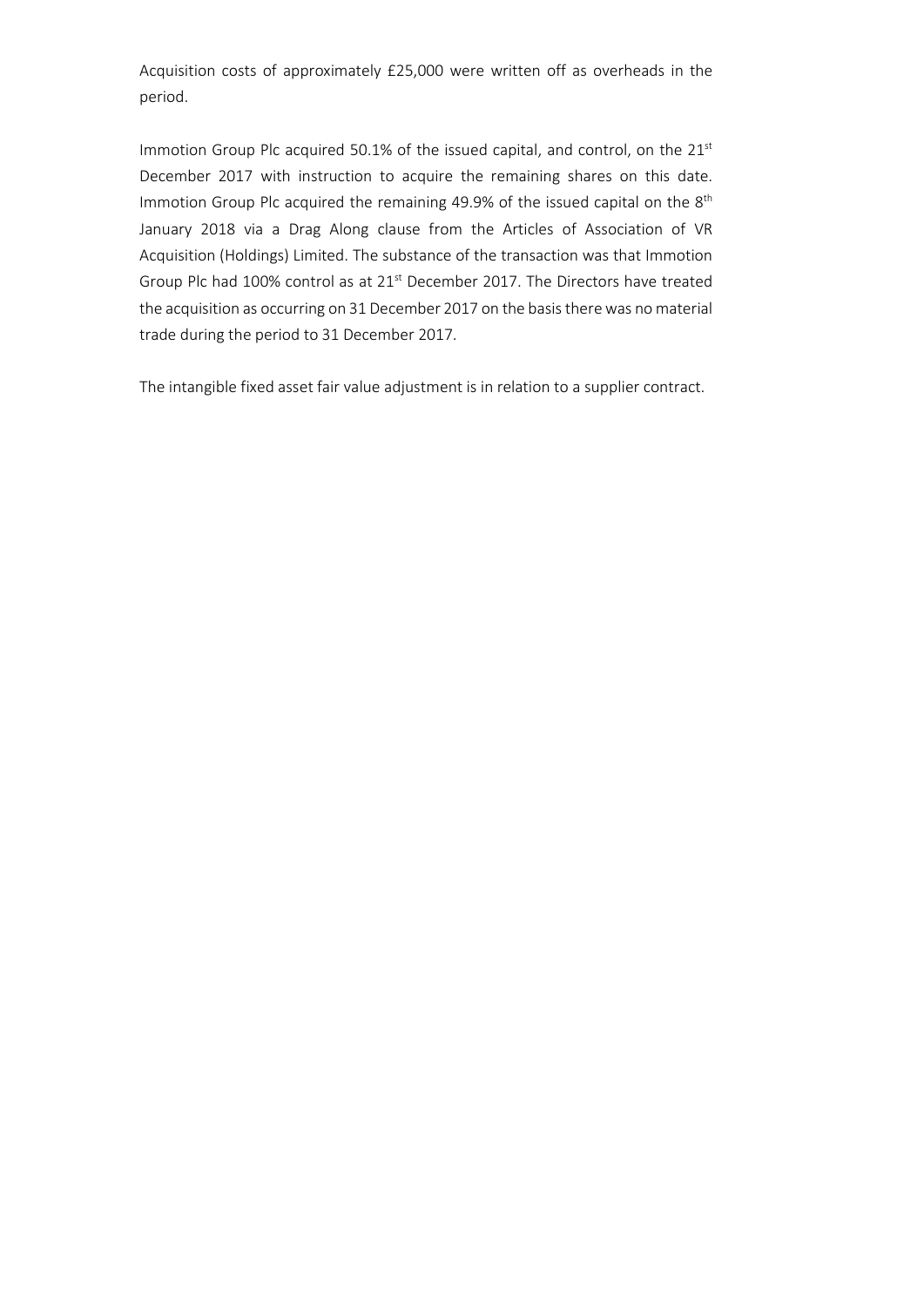Acquisition costs of approximately £25,000 were written off as overheads in the period.

Immotion Group Plc acquired 50.1% of the issued capital, and control, on the 21st December 2017 with instruction to acquire the remaining shares on this date. Immotion Group Plc acquired the remaining 49.9% of the issued capital on the 8<sup>th</sup> January 2018 via a Drag Along clause from the Articles of Association of VR Acquisition (Holdings) Limited. The substance of the transaction was that Immotion Group Plc had 100% control as at 21<sup>st</sup> December 2017. The Directors have treated the acquisition as occurring on 31 December 2017 on the basis there was no material trade during the period to 31 December 2017.

The intangible fixed asset fair value adjustment is in relation to a supplier contract.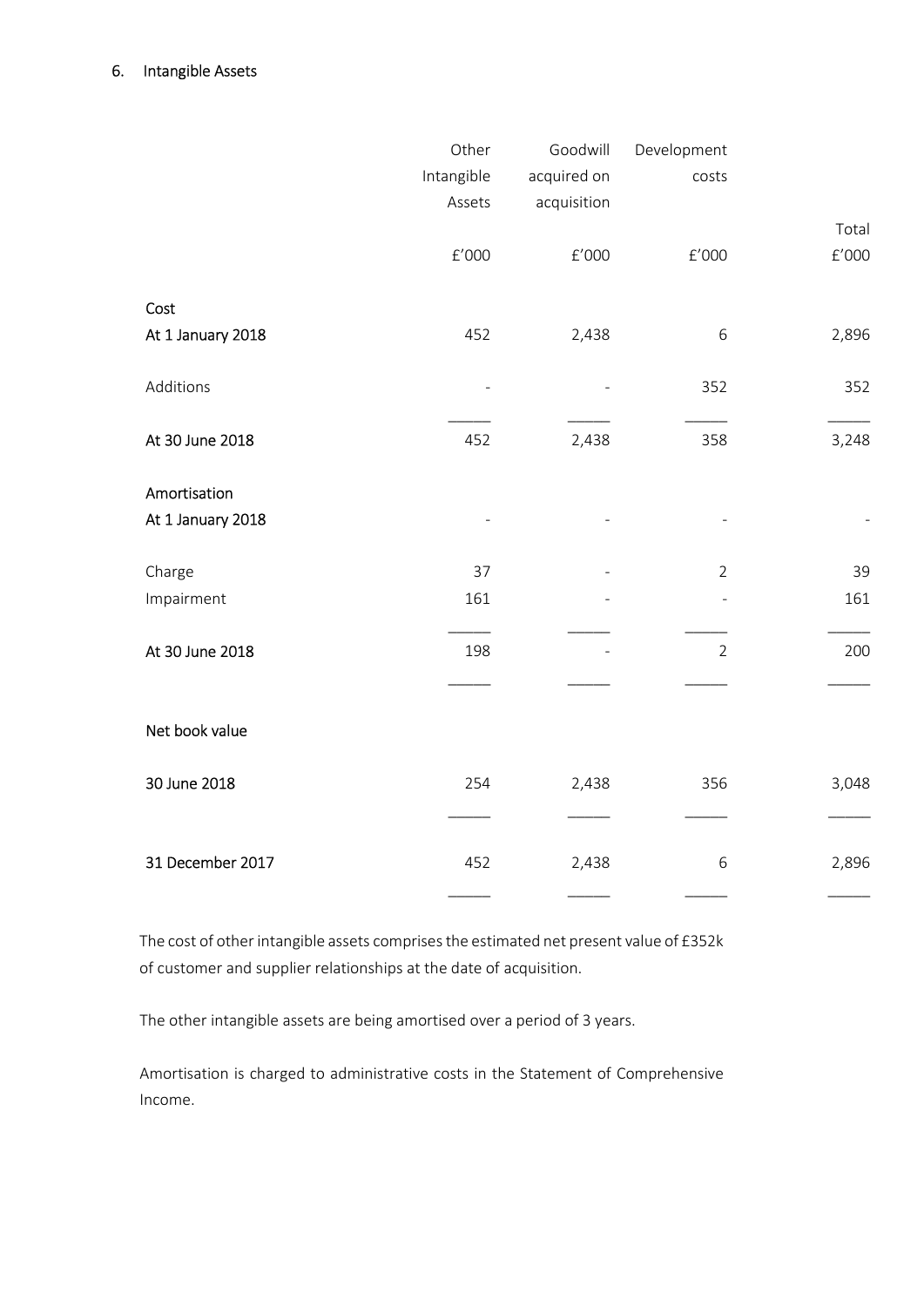#### 6. Intangible Assets

|                   | Other                | Goodwill             | Development          |         |
|-------------------|----------------------|----------------------|----------------------|---------|
|                   | Intangible           | acquired on          | costs                |         |
|                   | Assets               | acquisition          |                      |         |
|                   |                      |                      |                      | Total   |
|                   | $\rm{f}^{\prime}000$ | $\rm{f}^{\prime}000$ | $\rm{f}^{\prime}000$ | $E'000$ |
| Cost              |                      |                      |                      |         |
| At 1 January 2018 | 452                  | 2,438                | 6                    | 2,896   |
| Additions         |                      | $\overline{a}$       | 352                  | 352     |
| At 30 June 2018   | 452                  | 2,438                | 358                  | 3,248   |
| Amortisation      |                      |                      |                      |         |
| At 1 January 2018 |                      |                      |                      |         |
| Charge            | 37                   |                      | $\overline{2}$       | 39      |
| Impairment        | 161                  |                      | ÷,                   | 161     |
| At 30 June 2018   | 198                  |                      | $\overline{2}$       | 200     |
|                   |                      |                      |                      |         |
| Net book value    |                      |                      |                      |         |
| 30 June 2018      | 254                  | 2,438                | 356                  | 3,048   |
| 31 December 2017  | 452                  | 2,438                | $\,$ 6 $\,$          | 2,896   |

The cost of other intangible assets comprises the estimated net present value of £352k of customer and supplier relationships at the date of acquisition.

The other intangible assets are being amortised over a period of 3 years.

Amortisation is charged to administrative costs in the Statement of Comprehensive Income.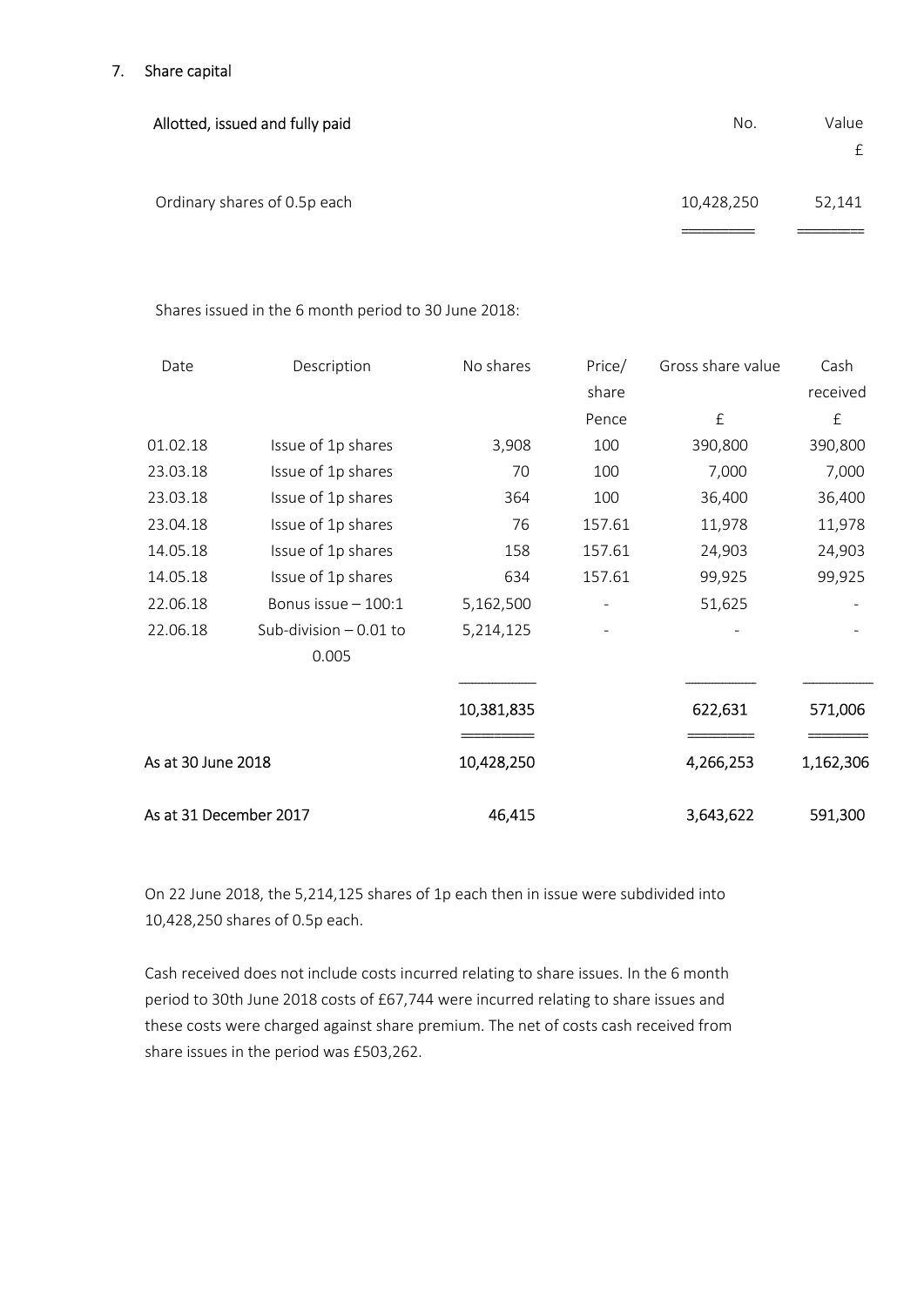### 7. Share capital

| Allotted, issued and fully paid | No.        | Value<br>£ |
|---------------------------------|------------|------------|
| Ordinary shares of 0.5p each    | 10,428,250 | 52,141     |

Shares issued in the 6 month period to 30 June 2018:

| Date                   | Description             | No shares  | Price/ | Gross share value | Cash      |
|------------------------|-------------------------|------------|--------|-------------------|-----------|
|                        |                         |            | share  |                   | received  |
|                        |                         |            | Pence  | $\pounds$         | £         |
| 01.02.18               | Issue of 1p shares      | 3,908      | 100    | 390,800           | 390,800   |
| 23.03.18               | Issue of 1p shares      | 70         | 100    | 7,000             | 7,000     |
| 23.03.18               | Issue of 1p shares      | 364        | 100    | 36,400            | 36,400    |
| 23.04.18               | Issue of 1p shares      | 76         | 157.61 | 11,978            | 11,978    |
| 14.05.18               | Issue of 1p shares      | 158        | 157.61 | 24,903            | 24,903    |
| 14.05.18               | Issue of 1p shares      | 634        | 157.61 | 99,925            | 99,925    |
| 22.06.18               | Bonus issue - 100:1     | 5,162,500  |        | 51,625            |           |
| 22.06.18               | Sub-division $-0.01$ to | 5,214,125  |        |                   |           |
|                        | 0.005                   |            |        |                   |           |
|                        |                         | 10,381,835 |        | 622,631           | 571,006   |
| As at 30 June 2018     |                         | 10,428,250 |        | 4,266,253         | 1,162,306 |
| As at 31 December 2017 |                         | 46,415     |        | 3,643,622         | 591,300   |

On 22 June 2018, the 5,214,125 shares of 1p each then in issue were subdivided into 10,428,250 shares of 0.5p each.

Cash received does not include costs incurred relating to share issues. In the 6 month period to 30th June 2018 costs of £67,744 were incurred relating to share issues and these costs were charged against share premium. The net of costs cash received from share issues in the period was £503,262.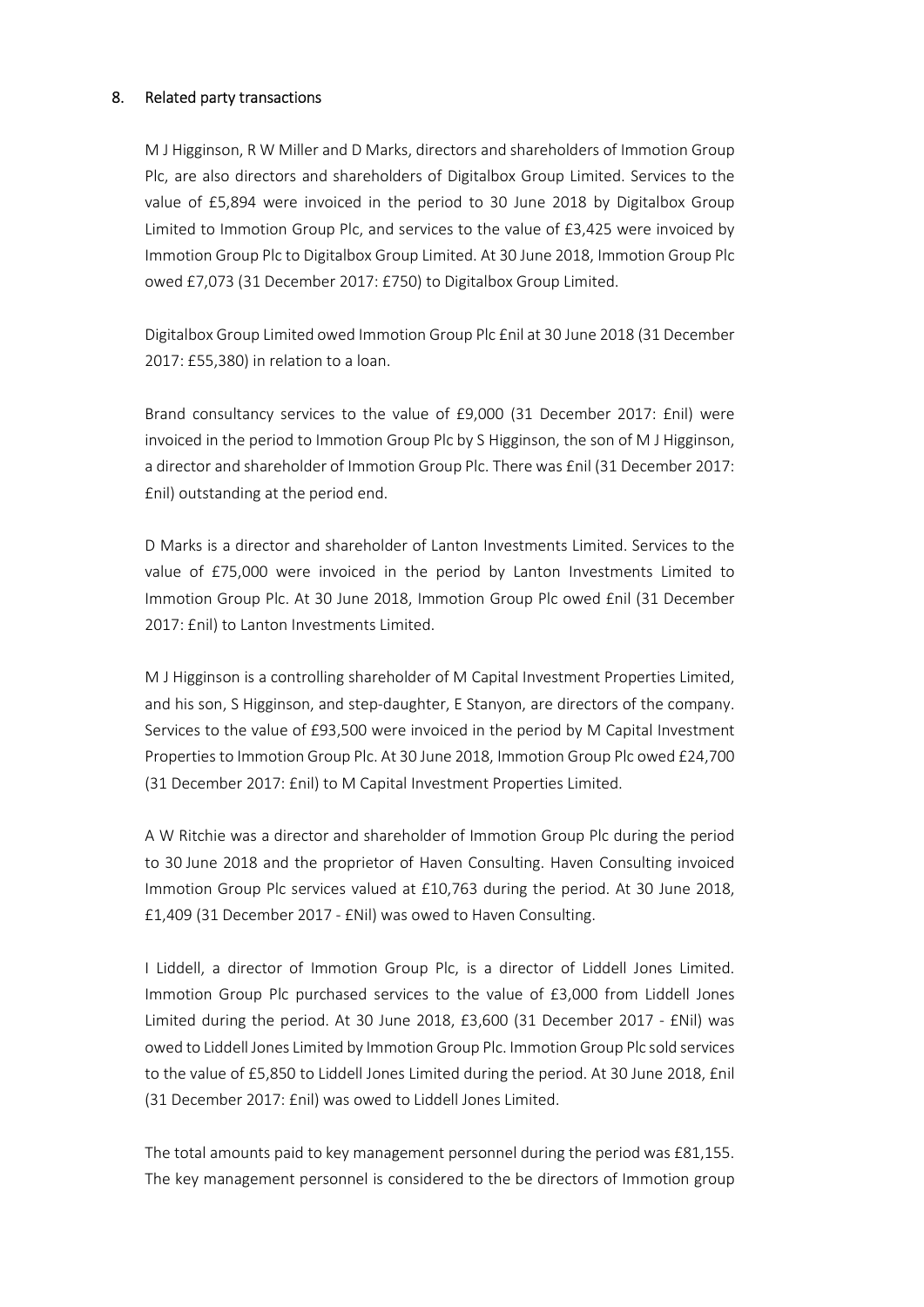#### 8. Related party transactions

M J Higginson, R W Miller and D Marks, directors and shareholders of Immotion Group Plc, are also directors and shareholders of Digitalbox Group Limited. Services to the value of £5,894 were invoiced in the period to 30 June 2018 by Digitalbox Group Limited to Immotion Group Plc, and services to the value of £3,425 were invoiced by Immotion Group Plc to Digitalbox Group Limited. At 30 June 2018, Immotion Group Plc owed £7,073 (31 December 2017: £750) to Digitalbox Group Limited.

Digitalbox Group Limited owed Immotion Group Plc £nil at 30 June 2018 (31 December 2017: £55,380) in relation to a loan.

Brand consultancy services to the value of £9,000 (31 December 2017: £nil) were invoiced in the period to Immotion Group Plc by S Higginson, the son of M J Higginson, a director and shareholder of Immotion Group Plc. There was £nil (31 December 2017: £nil) outstanding at the period end.

D Marks is a director and shareholder of Lanton Investments Limited. Services to the value of £75,000 were invoiced in the period by Lanton Investments Limited to Immotion Group Plc. At 30 June 2018, Immotion Group Plc owed £nil (31 December 2017: £nil) to Lanton Investments Limited.

M J Higginson is a controlling shareholder of M Capital Investment Properties Limited, and his son, S Higginson, and step-daughter, E Stanyon, are directors of the company. Services to the value of £93,500 were invoiced in the period by M Capital Investment Properties to Immotion Group Plc. At 30 June 2018, Immotion Group Plc owed £24,700 (31 December 2017: £nil) to M Capital Investment Properties Limited.

A W Ritchie was a director and shareholder of Immotion Group Plc during the period to 30 June 2018 and the proprietor of Haven Consulting. Haven Consulting invoiced Immotion Group Plc services valued at £10,763 during the period. At 30 June 2018, £1,409 (31 December 2017 - £Nil) was owed to Haven Consulting.

I Liddell, a director of Immotion Group Plc, is a director of Liddell Jones Limited. Immotion Group Plc purchased services to the value of £3,000 from Liddell Jones Limited during the period. At 30 June 2018, £3,600 (31 December 2017 - £Nil) was owed to Liddell Jones Limited by Immotion Group Plc. Immotion Group Plc sold services to the value of £5,850 to Liddell Jones Limited during the period. At 30 June 2018, £nil (31 December 2017: £nil) was owed to Liddell Jones Limited.

The total amounts paid to key management personnel during the period was £81,155. The key management personnel is considered to the be directors of Immotion group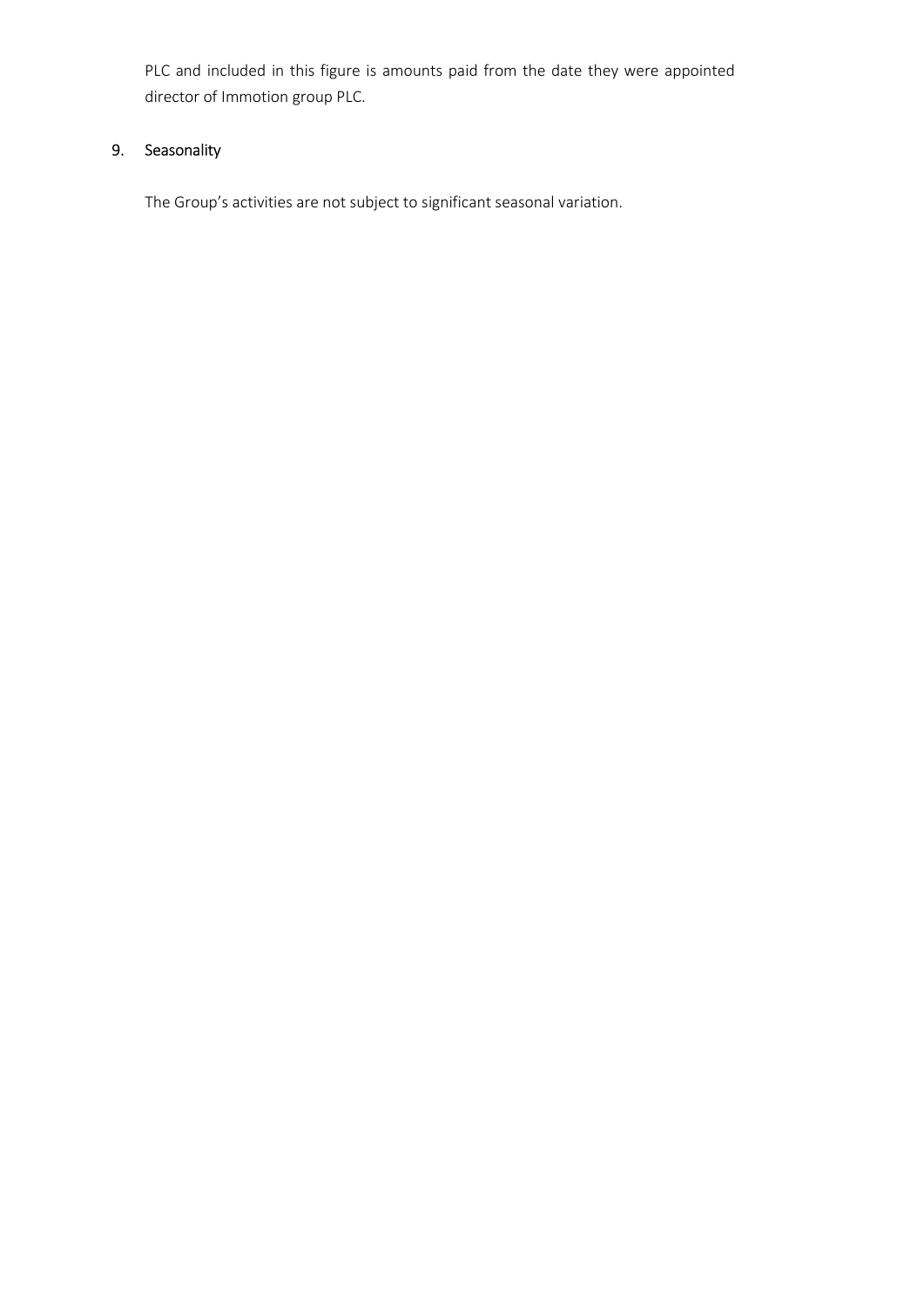PLC and included in this figure is amounts paid from the date they were appointed director of Immotion group PLC.

# 9. Seasonality

The Group's activities are not subject to significant seasonal variation.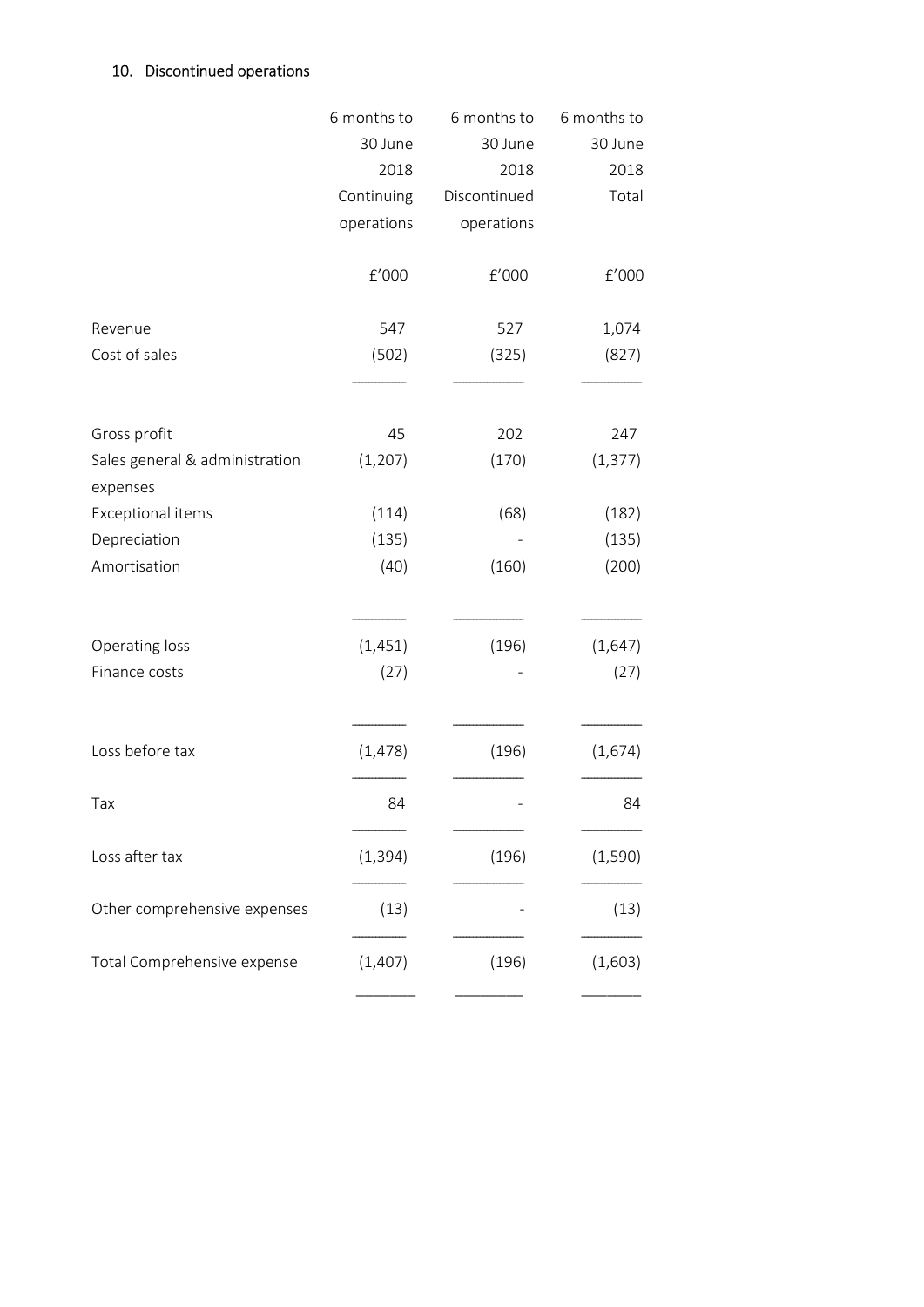# 10. Discontinued operations

|                                            | 6 months to | 6 months to  | 6 months to |
|--------------------------------------------|-------------|--------------|-------------|
|                                            | 30 June     | 30 June      | 30 June     |
|                                            | 2018        | 2018         | 2018        |
|                                            | Continuing  | Discontinued | Total       |
|                                            | operations  | operations   |             |
|                                            | f'000       | f'000        | f'000       |
| Revenue                                    | 547         | 527          | 1,074       |
| Cost of sales                              | (502)       | (325)        | (827)       |
|                                            |             |              |             |
| Gross profit                               | 45          | 202          | 247         |
| Sales general & administration<br>expenses | (1, 207)    | (170)        | (1, 377)    |
| <b>Exceptional items</b>                   | (114)       | (68)         | (182)       |
| Depreciation                               | (135)       |              | (135)       |
| Amortisation                               | (40)        | (160)        | (200)       |
|                                            |             | (196)        |             |
| Operating loss                             | (1, 451)    |              | (1, 647)    |
| Finance costs                              | (27)        |              | (27)        |
| Loss before tax                            | (1, 478)    | (196)        | (1,674)     |
| Tax                                        | 84          |              | 84          |
| Loss after tax                             | (1, 394)    | (196)        | (1, 590)    |
| Other comprehensive expenses               | (13)        |              | (13)        |
| Total Comprehensive expense                | (1,407)     | (196)        | (1,603)     |
|                                            |             |              |             |